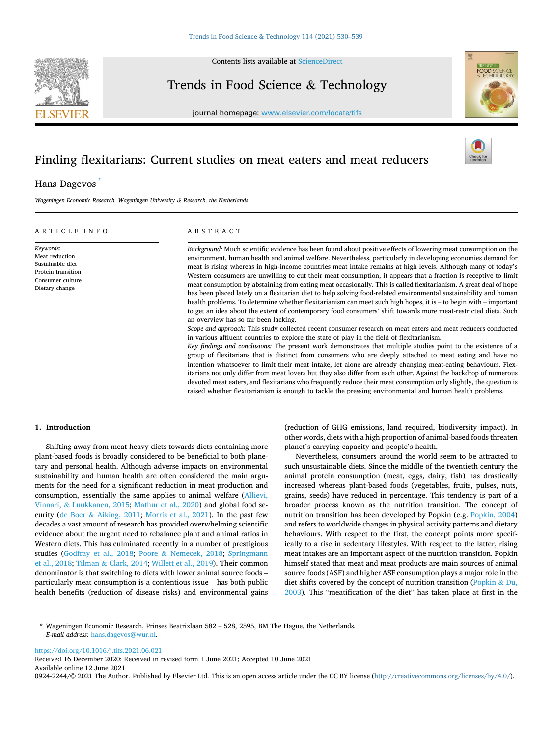

Contents lists available at [ScienceDirect](www.sciencedirect.com/science/journal/09242244)

# Trends in Food Science & Technology



journal homepage: [www.elsevier.com/locate/tifs](https://www.elsevier.com/locate/tifs)

# Finding flexitarians: Current studies on meat eaters and meat reducers

# Hans Dagevos

*Wageningen Economic Research, Wageningen University & Research, the Netherlands* 

#### ARTICLE INFO

#### ABSTRACT

*Keywords:*  Meat reduction Sustainable diet Protein transition Consumer culture Dietary change *Background:* Much scientific evidence has been found about positive effects of lowering meat consumption on the environment, human health and animal welfare. Nevertheless, particularly in developing economies demand for meat is rising whereas in high-income countries meat intake remains at high levels. Although many of today's Western consumers are unwilling to cut their meat consumption, it appears that a fraction is receptive to limit meat consumption by abstaining from eating meat occasionally. This is called flexitarianism. A great deal of hope has been placed lately on a flexitarian diet to help solving food-related environmental sustainability and human health problems. To determine whether flexitarianism can meet such high hopes, it is – to begin with – important to get an idea about the extent of contemporary food consumers' shift towards more meat-restricted diets. Such an overview has so far been lacking. *Scope and approach:* This study collected recent consumer research on meat eaters and meat reducers conducted in various affluent countries to explore the state of play in the field of flexitarianism. *Key findings and conclusions:* The present work demonstrates that multiple studies point to the existence of a group of flexitarians that is distinct from consumers who are deeply attached to meat eating and have no intention whatsoever to limit their meat intake, let alone are already changing meat-eating behaviours. Flexitarians not only differ from meat lovers but they also differ from each other. Against the backdrop of numerous devoted meat eaters, and flexitarians who frequently reduce their meat consumption only slightly, the question is raised whether flexitarianism is enough to tackle the pressing environmental and human health problems.

### **1. Introduction**

Shifting away from meat-heavy diets towards diets containing more plant-based foods is broadly considered to be beneficial to both planetary and personal health. Although adverse impacts on environmental sustainability and human health are often considered the main arguments for the need for a significant reduction in meat production and consumption, essentially the same applies to animal welfare [\(Allievi,](#page-7-0)  Vinnari, & [Luukkanen, 2015;](#page-7-0) [Mathur et al., 2020](#page-8-0)) and global food security (de Boer & [Aiking, 2011](#page-7-0); [Morris et al., 2021](#page-8-0)). In the past few decades a vast amount of research has provided overwhelming scientific evidence about the urgent need to rebalance plant and animal ratios in Western diets. This has culminated recently in a number of prestigious studies ([Godfray et al., 2018;](#page-8-0) Poore & [Nemecek, 2018;](#page-8-0) [Springmann](#page-9-0)  [et al., 2018;](#page-9-0) Tilman & [Clark, 2014;](#page-9-0) [Willett et al., 2019\)](#page-9-0). Their common denominator is that switching to diets with lower animal source foods – particularly meat consumption is a contentious issue – has both public health benefits (reduction of disease risks) and environmental gains (reduction of GHG emissions, land required, biodiversity impact). In other words, diets with a high proportion of animal-based foods threaten planet's carrying capacity and people's health.

Nevertheless, consumers around the world seem to be attracted to such unsustainable diets. Since the middle of the twentieth century the animal protein consumption (meat, eggs, dairy, fish) has drastically increased whereas plant-based foods (vegetables, fruits, pulses, nuts, grains, seeds) have reduced in percentage. This tendency is part of a broader process known as the nutrition transition. The concept of nutrition transition has been developed by Popkin (e.g. [Popkin, 2004\)](#page-8-0) and refers to worldwide changes in physical activity patterns and dietary behaviours. With respect to the first, the concept points more specifically to a rise in sedentary lifestyles. With respect to the latter, rising meat intakes are an important aspect of the nutrition transition. Popkin himself stated that meat and meat products are main sources of animal source foods (ASF) and higher ASF consumption plays a major role in the diet shifts covered by the concept of nutrition transition ([Popkin](#page-8-0) & Du, [2003\)](#page-8-0). This "meatification of the diet" has taken place at first in the

<https://doi.org/10.1016/j.tifs.2021.06.021>

Available online 12 June 2021 0924-2244/© 2021 The Author. Published by Elsevier Ltd. This is an open access article under the CC BY license [\(http://creativecommons.org/licenses/by/4.0/\)](http://creativecommons.org/licenses/by/4.0/). Received 16 December 2020; Received in revised form 1 June 2021; Accepted 10 June 2021

<sup>\*</sup> Wageningen Economic Research, Prinses Beatrixlaan 582 – 528, 2595, BM The Hague, the Netherlands. *E-mail address:* [hans.dagevos@wur.nl.](mailto:hans.dagevos@wur.nl)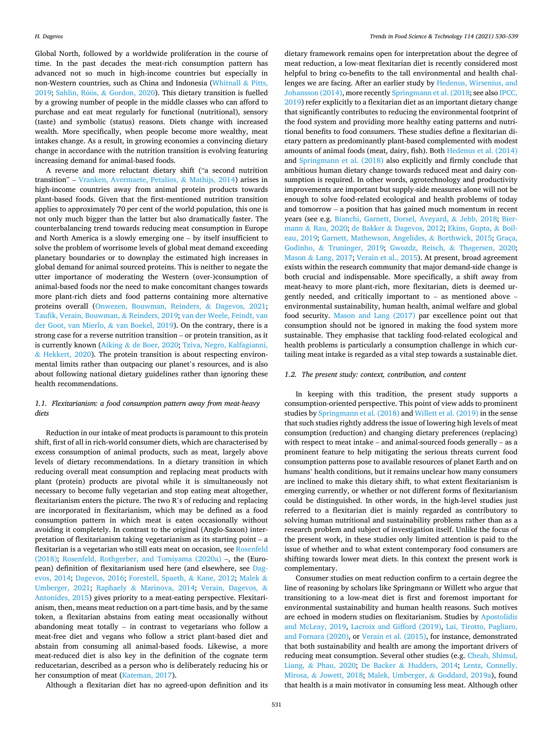<span id="page-1-0"></span>Global North, followed by a worldwide proliferation in the course of time. In the past decades the meat-rich consumption pattern has advanced not so much in high-income countries but especially in non-Western countries, such as China and Indonesia ([Whitnall](#page-9-0) & Pitts, [2019;](#page-9-0) Sahlin, Röös, & [Gordon, 2020\)](#page-9-0). This dietary transition is fuelled by a growing number of people in the middle classes who can afford to purchase and eat meat regularly for functional (nutritional), sensory (taste) and symbolic (status) reasons. Diets change with increased wealth. More specifically, when people become more wealthy, meat intakes change. As a result, in growing economies a convincing dietary change in accordance with the nutrition transition is evolving featuring increasing demand for animal-based foods.

A reverse and more reluctant dietary shift ("a second nutrition transition" – [Vranken, Avermaete, Petalios,](#page-9-0) & Mathijs, 2014) arises in high-income countries away from animal protein products towards plant-based foods. Given that the first-mentioned nutrition transition applies to approximately 70 per cent of the world population, this one is not only much bigger than the latter but also dramatically faster. The counterbalancing trend towards reducing meat consumption in Europe and North America is a slowly emerging one – by itself insufficient to solve the problem of worrisome levels of global meat demand exceeding planetary boundaries or to downplay the estimated high increases in global demand for animal sourced proteins. This is neither to negate the utter importance of moderating the Western (over-)consumption of animal-based foods nor the need to make concomitant changes towards more plant-rich diets and food patterns containing more alternative proteins overall ([Onwezen, Bouwman, Reinders,](#page-8-0) & Dagevos, 2021; [Taufik, Verain, Bouwman,](#page-9-0) & Reinders, 2019; [van der Weele, Feindt, van](#page-9-0)  [der Goot, van Mierlo,](#page-9-0) & van Boekel, 2019). On the contrary, there is a strong case for a reverse nutrition transition – or protein transition, as it is currently known (Aiking & [de Boer, 2020](#page-7-0); [Tziva, Negro, Kalfagianni,](#page-9-0)  & [Hekkert, 2020](#page-9-0)). The protein transition is about respecting environmental limits rather than outpacing our planet's resources, and is also about following national dietary guidelines rather than ignoring these health recommendations.

## *1.1. Flexitarianism: a food consumption pattern away from meat-heavy diets*

Reduction in our intake of meat products is paramount to this protein shift, first of all in rich-world consumer diets, which are characterised by excess consumption of animal products, such as meat, largely above levels of dietary recommendations. In a dietary transition in which reducing overall meat consumption and replacing meat products with plant (protein) products are pivotal while it is simultaneously not necessary to become fully vegetarian and stop eating meat altogether, flexitarianism enters the picture. The two R's of reducing and replacing are incorporated in flexitarianism, which may be defined as a food consumption pattern in which meat is eaten occasionally without avoiding it completely. In contrast to the original (Anglo-Saxon) interpretation of flexitarianism taking vegetarianism as its starting point – a flexitarian is a vegetarian who still eats meat on occasion, see [Rosenfeld](#page-8-0)  [\(2018\);](#page-8-0) [Rosenfeld, Rothgerber, and Tomiyama \(2020a\)](#page-8-0) –, the (European) definition of flexitarianism used here (and elsewhere, see [Dag](#page-7-0)[evos, 2014](#page-7-0); [Dagevos, 2016;](#page-7-0) [Forestell, Spaeth,](#page-8-0) & Kane, 2012; [Malek](#page-8-0) & [Umberger, 2021](#page-8-0); Raphaely & [Marinova, 2014;](#page-8-0) [Verain, Dagevos,](#page-9-0) & [Antonides, 2015\)](#page-9-0) gives priority to a meat-eating perspective. Flexitarianism, then, means meat reduction on a part-time basis, and by the same token, a flexitarian abstains from eating meat occasionally without abandoning meat totally – in contrast to vegetarians who follow a meat-free diet and vegans who follow a strict plant-based diet and abstain from consuming all animal-based foods. Likewise, a more meat-reduced diet is also key in the definition of the cognate term reducetarian, described as a person who is deliberately reducing his or her consumption of meat ([Kateman, 2017](#page-8-0)).

Although a flexitarian diet has no agreed-upon definition and its

dietary framework remains open for interpretation about the degree of meat reduction, a low-meat flexitarian diet is recently considered most helpful to bring co-benefits to the tall environmental and health challenges we are facing. After an earlier study by [Hedenus, Wirsenius, and](#page-8-0)  [Johansson \(2014\),](#page-8-0) more recently [Springmann et al. \(2018](#page-9-0); see also [IPCC,](#page-8-0)  [2019\)](#page-8-0) refer explicitly to a flexitarian diet as an important dietary change that significantly contributes to reducing the environmental footprint of the food system and providing more healthy eating patterns and nutritional benefits to food consumers. These studies define a flexitarian dietary pattern as predominantly plant-based complemented with modest amounts of animal foods (meat, dairy, fish). Both [Hedenus et al. \(2014\)](#page-8-0)  and [Springmann et al. \(2018\)](#page-9-0) also explicitly and firmly conclude that ambitious human dietary change towards reduced meat and dairy consumption is required. In other words, agrotechnology and productivity improvements are important but supply-side measures alone will not be enough to solve food-related ecological and health problems of today and tomorrow – a position that has gained much momentum in recent years (see e.g. [Bianchi, Garnett, Dorsel, Aveyard,](#page-7-0) & Jebb, 2018; [Bier](#page-7-0)mann & [Rau, 2020](#page-7-0); de Bakker & [Dagevos, 2012;](#page-7-0) [Ekins, Gupta,](#page-8-0) & Boil[eau, 2019;](#page-8-0) [Garnett, Mathewson, Angelides,](#page-8-0) & Borthwick, 2015; [Graça,](#page-8-0)  Godinho, & [Truninger, 2019;](#page-8-0) [Gwozdz, Reisch,](#page-8-0) & Thøgersen, 2020; Mason & [Lang, 2017;](#page-8-0) [Verain et al., 2015\)](#page-9-0). At present, broad agreement exists within the research community that major demand-side change is both crucial and indispensable. More specifically, a shift away from meat-heavy to more plant-rich, more flexitarian, diets is deemed urgently needed, and critically important to – as mentioned above – environmental sustainability, human health, animal welfare and global food security. [Mason and Lang \(2017\)](#page-8-0) par excellence point out that consumption should not be ignored in making the food system more sustainable. They emphasise that tackling food-related ecological and health problems is particularly a consumption challenge in which curtailing meat intake is regarded as a vital step towards a sustainable diet.

#### *1.2. The present study: context, contribution, and content*

In keeping with this tradition, the present study supports a consumption-oriented perspective. This point of view adds to prominent studies by [Springmann et al. \(2018\)](#page-9-0) and [Willett et al. \(2019\)](#page-9-0) in the sense that such studies rightly address the issue of lowering high levels of meat consumption (reduction) and changing dietary preferences (replacing) with respect to meat intake – and animal-sourced foods generally – as a prominent feature to help mitigating the serious threats current food consumption patterns pose to available resources of planet Earth and on humans' health conditions, but it remains unclear how many consumers are inclined to make this dietary shift, to what extent flexitarianism is emerging currently, or whether or not different forms of flexitarianism could be distinguished. In other words, in the high-level studies just referred to a flexitarian diet is mainly regarded as contributory to solving human nutritional and sustainability problems rather than as a research problem and subject of investigation itself. Unlike the focus of the present work, in these studies only limited attention is paid to the issue of whether and to what extent contemporary food consumers are shifting towards lower meat diets. In this context the present work is complementary.

Consumer studies on meat reduction confirm to a certain degree the line of reasoning by scholars like Springmann or Willett who argue that transitioning to a low-meat diet is first and foremost important for environmental sustainability and human health reasons. Such motives are echoed in modern studies on flexitarianism. Studies by [Apostolidis](#page-7-0)  [and McLeay, 2019](#page-7-0), [Lacroix and Gifford \(2019\)](#page-8-0), [Lai, Tirotto, Pagliaro,](#page-8-0)  [and Fornara \(2020\),](#page-8-0) or [Verain et al. \(2015\)](#page-9-0), for instance, demonstrated that both sustainability and health are among the important drivers of reducing meat consumption. Several other studies (e.g. [Cheah, Shimul,](#page-7-0)  Liang, & [Phau, 2020](#page-7-0); De Backer & [Hudders, 2014](#page-7-0); [Lentz, Connelly,](#page-8-0)  Mirosa, & [Jowett, 2018](#page-8-0); [Malek, Umberger,](#page-8-0) & Goddard, 2019a), found that health is a main motivator in consuming less meat. Although other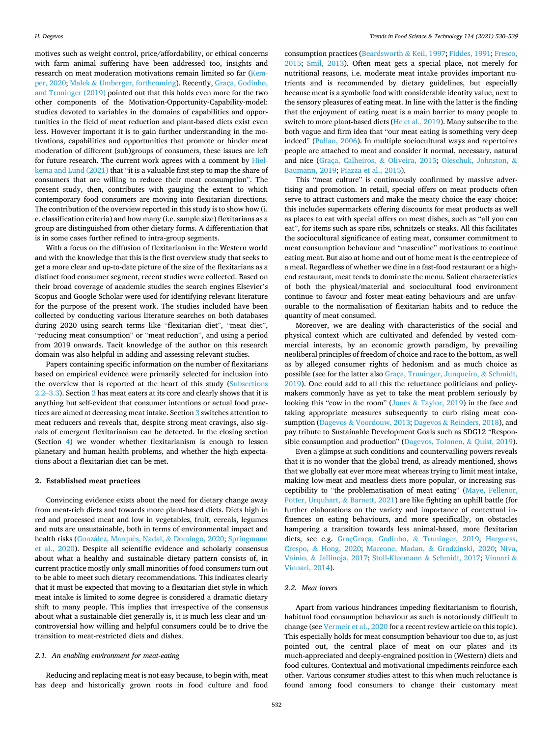motives such as weight control, price/affordability, or ethical concerns with farm animal suffering have been addressed too, insights and research on meat moderation motivations remain limited so far [\(Kem](#page-8-0)[per, 2020](#page-8-0); Malek & [Umberger, forthcoming\)](#page-8-0). Recently, [Graça, Godinho,](#page-8-0)  [and Truninger \(2019\)](#page-8-0) pointed out that this holds even more for the two other components of the Motivation-Opportunity-Capability-model: studies devoted to variables in the domains of capabilities and opportunities in the field of meat reduction and plant-based diets exist even less. However important it is to gain further understanding in the motivations, capabilities and opportunities that promote or hinder meat moderation of different (sub)groups of consumers, these issues are left for future research. The current work agrees with a comment by [Hiel](#page-8-0)[kema and Lund \(2021\)](#page-8-0) that "it is a valuable first step to map the share of consumers that are willing to reduce their meat consumption". The present study, then, contributes with gauging the extent to which contemporary food consumers are moving into flexitarian directions. The contribution of the overview reported in this study is to show how (i. e. classification criteria) and how many (i.e. sample size) flexitarians as a group are distinguished from other dietary forms. A differentiation that is in some cases further refined to intra-group segments.

With a focus on the diffusion of flexitarianism in the Western world and with the knowledge that this is the first overview study that seeks to get a more clear and up-to-date picture of the size of the flexitarians as a distinct food consumer segment, recent studies were collected. Based on their broad coverage of academic studies the search engines Elsevier's Scopus and Google Scholar were used for identifying relevant literature for the purpose of the present work. The studies included have been collected by conducting various literature searches on both databases during 2020 using search terms like "flexitarian diet", "meat diet", "reducing meat consumption" or "meat reduction", and using a period from 2019 onwards. Tacit knowledge of the author on this research domain was also helpful in adding and assessing relevant studies.

Papers containing specific information on the number of flexitarians based on empirical evidence were primarily selected for inclusion into the overview that is reported at the heart of this study (Subsections 2.2–3.3). Section 2 has meat eaters at its core and clearly shows that it is anything but self-evident that consumer intentions or actual food practices are aimed at decreasing meat intake. Section [3](#page-3-0) switches attention to meat reducers and reveals that, despite strong meat cravings, also signals of emergent flexitarianism can be detected. In the closing section (Section [4](#page-5-0)) we wonder whether flexitarianism is enough to lessen planetary and human health problems, and whether the high expectations about a flexitarian diet can be met.

#### **2. Established meat practices**

Convincing evidence exists about the need for dietary change away from meat-rich diets and towards more plant-based diets. Diets high in red and processed meat and low in vegetables, fruit, cereals, legumes and nuts are unsustainable, both in terms of environmental impact and health risks (González, Marquès, Nadal, & [Domingo, 2020;](#page-8-0) Springmann [et al., 2020](#page-9-0)). Despite all scientific evidence and scholarly consensus about what a healthy and sustainable dietary pattern consists of, in current practice mostly only small minorities of food consumers turn out to be able to meet such dietary recommendations. This indicates clearly that it must be expected that moving to a flexitarian diet style in which meat intake is limited to some degree is considered a dramatic dietary shift to many people. This implies that irrespective of the consensus about what a sustainable diet generally is, it is much less clear and uncontroversial how willing and helpful consumers could be to drive the transition to meat-restricted diets and dishes.

#### *2.1. An enabling environment for meat-eating*

Reducing and replacing meat is not easy because, to begin with, meat has deep and historically grown roots in food culture and food

consumption practices ([Beardsworth](#page-7-0) & Keil, 1997; [Fiddes, 1991; Fresco,](#page-8-0)  [2015;](#page-8-0) [Smil, 2013\)](#page-9-0). Often meat gets a special place, not merely for nutritional reasons, i.e. moderate meat intake provides important nutrients and is recommended by dietary guidelines, but especially because meat is a symbolic food with considerable identity value, next to the sensory pleasures of eating meat. In line with the latter is the finding that the enjoyment of eating meat is a main barrier to many people to switch to more plant-based diets ([He et al., 2019](#page-8-0)). Many subscribe to the both vague and firm idea that "our meat eating is something very deep indeed" ([Pollan, 2006\)](#page-8-0). In multiple sociocultural ways and repertoires people are attached to meat and consider it normal, necessary, natural and nice [\(Graça, Calheiros,](#page-8-0) & Oliveira, 2015; [Oleschuk, Johnston,](#page-8-0) & [Baumann, 2019](#page-8-0); [Piazza et al., 2015](#page-8-0)).

This "meat culture" is continuously confirmed by massive advertising and promotion. In retail, special offers on meat products often serve to attract customers and make the meaty choice the easy choice: this includes supermarkets offering discounts for meat products as well as places to eat with special offers on meat dishes, such as "all you can eat", for items such as spare ribs, schnitzels or steaks. All this facilitates the sociocultural significance of eating meat, consumer commitment to meat consumption behaviour and "masculine" motivations to continue eating meat. But also at home and out of home meat is the centrepiece of a meal. Regardless of whether we dine in a fast-food restaurant or a highend restaurant, meat tends to dominate the menu. Salient characteristics of both the physical/material and sociocultural food environment continue to favour and foster meat-eating behaviours and are unfavourable to the normalisation of flexitarian habits and to reduce the quantity of meat consumed.

Moreover, we are dealing with characteristics of the social and physical context which are cultivated and defended by vested commercial interests, by an economic growth paradigm, by prevailing neoliberal principles of freedom of choice and race to the bottom, as well as by alleged consumer rights of hedonism and as much choice as possible (see for the latter also [Graça, Truninger, Junqueira,](#page-8-0) & Schmidt, [2019\)](#page-8-0). One could add to all this the reluctance politicians and policymakers commonly have as yet to take the meat problem seriously by looking this "cow in the room" (Jones & [Taylor, 2019\)](#page-8-0) in the face and taking appropriate measures subsequently to curb rising meat consumption (Dagevos & [Voordouw, 2013;](#page-7-0) Dagevos & [Reinders, 2018\)](#page-7-0), and pay tribute to Sustainable Development Goals such as SDG12 "Responsible consumption and production" ([Dagevos, Tolonen,](#page-7-0) & Quist, 2019).

Even a glimpse at such conditions and countervailing powers reveals that it is no wonder that the global trend, as already mentioned, shows that we globally eat ever more meat whereas trying to limit meat intake, making low-meat and meatless diets more popular, or increasing susceptibility to "the problematisation of meat eating" ([Maye, Fellenor,](#page-8-0)  [Potter, Urquhart,](#page-8-0) & Barnett, 2021) are like fighting an uphill battle (for further elaborations on the variety and importance of contextual influences on eating behaviours, and more specifically, on obstacles hampering a transition towards less animal-based, more flexitarian diets, see e.g. [GraçGraça, Godinho,](#page-8-0) & Truninger, 2019; [Harguess,](#page-8-0)  Crespo, & [Hong, 2020](#page-8-0); [Marcone, Madan,](#page-8-0) & Grodzinski, 2020; [Niva,](#page-8-0)  Vainio, & [Jallinoja, 2017](#page-8-0); [Stoll-Kleemann](#page-9-0) & Schmidt, 2017; [Vinnari](#page-9-0) & [Vinnari, 2014\)](#page-9-0).

# *2.2. Meat lovers*

Apart from various hindrances impeding flexitarianism to flourish, habitual food consumption behaviour as such is notoriously difficult to change (see [Vermeir et al., 2020](#page-9-0) for a recent review article on this topic). This especially holds for meat consumption behaviour too due to, as just pointed out, the central place of meat on our plates and its much-appreciated and deeply-engrained position in (Western) diets and food cultures. Contextual and motivational impediments reinforce each other. Various consumer studies attest to this when much reluctance is found among food consumers to change their customary meat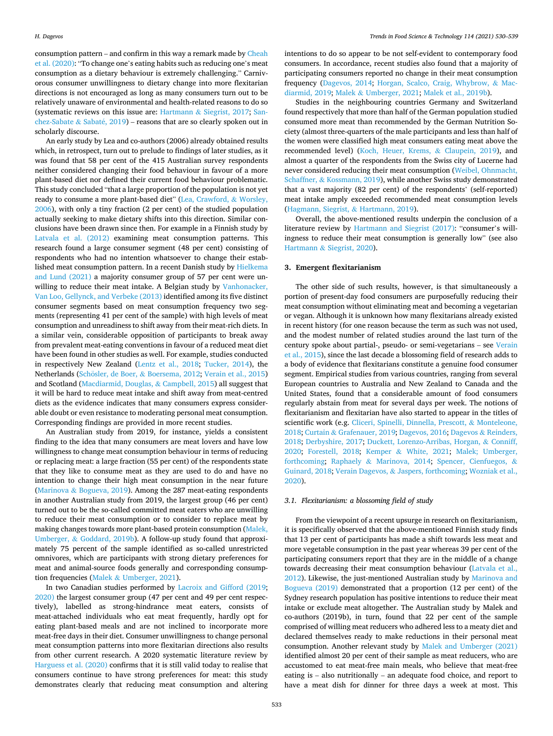<span id="page-3-0"></span>consumption pattern – and confirm in this way a remark made by [Cheah](#page-7-0)  [et al. \(2020\)](#page-7-0): "To change one's eating habits such as reducing one's meat consumption as a dietary behaviour is extremely challenging." Carnivorous consumer unwillingness to dietary change into more flexitarian directions is not encouraged as long as many consumers turn out to be relatively unaware of environmental and health-related reasons to do so (systematic reviews on this issue are: Hartmann & [Siegrist, 2017;](#page-8-0) [San](#page-9-0)[chez-Sabate](#page-9-0)  $\&$  Sabaté, 2019) – reasons that are so clearly spoken out in scholarly discourse.

An early study by Lea and co-authors (2006) already obtained results which, in retrospect, turn out to prelude to findings of later studies, as it was found that 58 per cent of the 415 Australian survey respondents neither considered changing their food behaviour in favour of a more plant-based diet nor defined their current food behaviour problematic. This study concluded "that a large proportion of the population is not yet ready to consume a more plant-based diet" ([Lea, Crawford,](#page-8-0) & Worsley, [2006\)](#page-8-0), with only a tiny fraction (2 per cent) of the studied population actually seeking to make dietary shifts into this direction. Similar conclusions have been drawn since then. For example in a Finnish study by [Latvala et al. \(2012\)](#page-8-0) examining meat consumption patterns. This research found a large consumer segment (48 per cent) consisting of respondents who had no intention whatsoever to change their established meat consumption pattern. In a recent Danish study by [Hielkema](#page-8-0)  [and Lund \(2021\)](#page-8-0) a majority consumer group of 57 per cent were unwilling to reduce their meat intake. A Belgian study by [Vanhonacker,](#page-9-0)  [Van Loo, Gellynck, and Verbeke \(2013\)](#page-9-0) identified among its five distinct consumer segments based on meat consumption frequency two segments (representing 41 per cent of the sample) with high levels of meat consumption and unreadiness to shift away from their meat-rich diets. In a similar vein, considerable opposition of participants to break away from prevalent meat-eating conventions in favour of a reduced meat diet have been found in other studies as well. For example, studies conducted in respectively New Zealand ([Lentz et al., 2018](#page-8-0); [Tucker, 2014](#page-9-0)), the Netherlands (Schösler, de Boer, & [Boersema, 2012; Verain et al., 2015\)](#page-9-0) and Scotland [\(Macdiarmid, Douglas,](#page-8-0) & Campbell, 2015) all suggest that it will be hard to reduce meat intake and shift away from meat-centred diets as the evidence indicates that many consumers express considerable doubt or even resistance to moderating personal meat consumption. Corresponding findings are provided in more recent studies.

An Australian study from 2019, for instance, yields a consistent finding to the idea that many consumers are meat lovers and have low willingness to change meat consumption behaviour in terms of reducing or replacing meat: a large fraction (55 per cent) of the respondents state that they like to consume meat as they are used to do and have no intention to change their high meat consumption in the near future (Marinova & [Bogueva, 2019\)](#page-8-0). Among the 287 meat-eating respondents in another Australian study from 2019, the largest group (46 per cent) turned out to be the so-called committed meat eaters who are unwilling to reduce their meat consumption or to consider to replace meat by making changes towards more plant-based protein consumption ([Malek,](#page-8-0)  Umberger, & [Goddard, 2019b\)](#page-8-0). A follow-up study found that approximately 75 percent of the sample identified as so-called unrestricted omnivores, which are participants with strong dietary preferences for meat and animal-source foods generally and corresponding consumption frequencies (Malek & [Umberger, 2021\)](#page-8-0).

In two Canadian studies performed by [Lacroix and Gifford \(2019](#page-8-0); [2020\)](#page-8-0) the largest consumer group (47 per cent and 49 per cent respectively), labelled as strong-hindrance meat eaters, consists of meat-attached individuals who eat meat frequently, hardly opt for eating plant-based meals and are not inclined to incorporate more meat-free days in their diet. Consumer unwillingness to change personal meat consumption patterns into more flexitarian directions also results from other current research. A 2020 systematic literature review by [Harguess et al. \(2020\)](#page-8-0) confirms that it is still valid today to realise that consumers continue to have strong preferences for meat: this study demonstrates clearly that reducing meat consumption and altering

intentions to do so appear to be not self-evident to contemporary food consumers. In accordance, recent studies also found that a majority of participating consumers reported no change in their meat consumption frequency ([Dagevos, 2014;](#page-7-0) [Horgan, Scalco, Craig, Whybrow,](#page-8-0) & Mac[diarmid, 2019;](#page-8-0) Malek & [Umberger, 2021; Malek et al., 2019b](#page-8-0)).

Studies in the neighbouring countries Germany and Switzerland found respectively that more than half of the German population studied consumed more meat than recommended by the German Nutrition Society (almost three-quarters of the male participants and less than half of the women were classified high meat consumers eating meat above the recommended level) ([Koch, Heuer, Krems,](#page-8-0) & Claupein, 2019), and almost a quarter of the respondents from the Swiss city of Lucerne had never considered reducing their meat consumption ([Weibel, Ohnmacht,](#page-9-0)  Schaffner, & [Kossmann, 2019\)](#page-9-0), while another Swiss study demonstrated that a vast majority (82 per cent) of the respondents' (self-reported) meat intake amply exceeded recommended meat consumption levels ([Hagmann, Siegrist,](#page-8-0) & Hartmann, 2019).

Overall, the above-mentioned results underpin the conclusion of a literature review by [Hartmann and Siegrist \(2017\):](#page-8-0) "consumer's willingness to reduce their meat consumption is generally low" (see also Hartmann & [Siegrist, 2020\)](#page-8-0).

## **3. Emergent flexitarianism**

The other side of such results, however, is that simultaneously a portion of present-day food consumers are purposefully reducing their meat consumption without eliminating meat and becoming a vegetarian or vegan. Although it is unknown how many flexitarians already existed in recent history (for one reason because the term as such was not used, and the modest number of related studies around the last turn of the century spoke about partial-, pseudo- or semi-vegetarians – see [Verain](#page-9-0)  [et al., 2015\)](#page-9-0), since the last decade a blossoming field of research adds to a body of evidence that flexitarians constitute a genuine food consumer segment. Empirical studies from various countries, ranging from several European countries to Australia and New Zealand to Canada and the United States, found that a considerable amount of food consumers regularly abstain from meat for several days per week. The notions of flexitarianism and flexitarian have also started to appear in the titles of scientific work (e.g. [Cliceri, Spinelli, Dinnella, Prescott,](#page-7-0) & Monteleone, [2018;](#page-7-0) Curtain & [Grafenauer, 2019](#page-7-0); [Dagevos, 2016](#page-7-0); Dagevos & [Reinders,](#page-7-0)  [2018; Derbyshire, 2017;](#page-7-0) [Duckett, Lorenzo-Arribas, Horgan,](#page-7-0) & Conniff, [2020;](#page-7-0) [Forestell, 2018](#page-8-0); Kemper & [White, 2021](#page-8-0); [Malek; Umberger,](#page-8-0)  [forthcoming;](#page-8-0) Raphaely & [Marinova, 2014](#page-8-0); [Spencer, Cienfuegos,](#page-9-0) & [Guinard, 2018](#page-9-0); Verain Dagevos, & [Jaspers, forthcoming; Wozniak et al.,](#page-9-0)  [2020\)](#page-9-0).

#### *3.1. Flexitarianism: a blossoming field of study*

From the viewpoint of a recent upsurge in research on flexitarianism, it is specifically observed that the above-mentioned Finnish study finds that 13 per cent of participants has made a shift towards less meat and more vegetable consumption in the past year whereas 39 per cent of the participating consumers report that they are in the middle of a change towards decreasing their meat consumption behaviour [\(Latvala et al.,](#page-8-0)  [2012\)](#page-8-0). Likewise, the just-mentioned Australian study by [Marinova and](#page-8-0)  [Bogueva \(2019\)](#page-8-0) demonstrated that a proportion (12 per cent) of the Sydney research population has positive intentions to reduce their meat intake or exclude meat altogether. The Australian study by Malek and co-authors (2019b), in turn, found that 22 per cent of the sample comprised of willing meat reducers who adhered less to a meaty diet and declared themselves ready to make reductions in their personal meat consumption. Another relevant study by [Malek and Umberger \(2021\)](#page-8-0)  identified almost 20 per cent of their sample as meat reducers, who are accustomed to eat meat-free main meals, who believe that meat-free eating is – also nutritionally – an adequate food choice, and report to have a meat dish for dinner for three days a week at most. This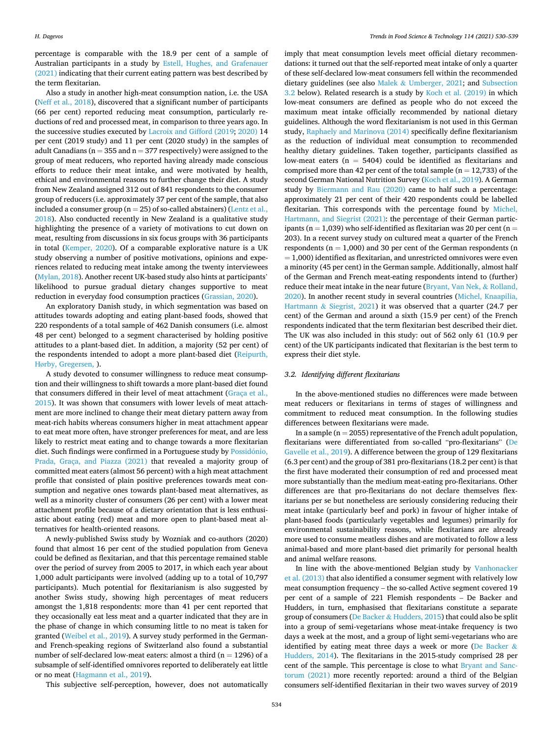<span id="page-4-0"></span>percentage is comparable with the 18.9 per cent of a sample of Australian participants in a study by [Estell, Hughes, and Grafenauer](#page-8-0)  [\(2021\)](#page-8-0) indicating that their current eating pattern was best described by the term flexitarian.

Also a study in another high-meat consumption nation, i.e. the USA ([Neff et al., 2018](#page-8-0)), discovered that a significant number of participants (66 per cent) reported reducing meat consumption, particularly reductions of red and processed meat, in comparison to three years ago. In the successive studies executed by [Lacroix and Gifford \(2019](#page-8-0); [2020\)](#page-8-0) 14 per cent (2019 study) and 11 per cent (2020 study) in the samples of adult Canadians ( $n = 355$  and  $n = 377$  respectively) were assigned to the group of meat reducers, who reported having already made conscious efforts to reduce their meat intake, and were motivated by health, ethical and environmental reasons to further change their diet. A study from New Zealand assigned 312 out of 841 respondents to the consumer group of reducers (i.e. approximately 37 per cent of the sample, that also included a consumer group ( $n = 25$ ) of so-called abstainers) (Lentz et al., [2018\)](#page-8-0). Also conducted recently in New Zealand is a qualitative study highlighting the presence of a variety of motivations to cut down on meat, resulting from discussions in six focus groups with 36 participants in total [\(Kemper, 2020\)](#page-8-0). Of a comparable explorative nature is a UK study observing a number of positive motivations, opinions and experiences related to reducing meat intake among the twenty interviewees ([Mylan, 2018\)](#page-8-0). Another recent UK-based study also hints at participants' likelihood to pursue gradual dietary changes supportive to meat reduction in everyday food consumption practices [\(Grassian, 2020\)](#page-8-0).

An exploratory Danish study, in which segmentation was based on attitudes towards adopting and eating plant-based foods, showed that 220 respondents of a total sample of 462 Danish consumers (i.e. almost 48 per cent) belonged to a segment characterised by holding positive attitudes to a plant-based diet. In addition, a majority (52 per cent) of the respondents intended to adopt a more plant-based diet ([Reipurth,](#page-8-0)  Hø[rby, Gregersen,](#page-8-0) ).

A study devoted to consumer willingness to reduce meat consumption and their willingness to shift towards a more plant-based diet found that consumers differed in their level of meat attachment ([Graça et al.,](#page-8-0)  [2015\)](#page-8-0). It was shown that consumers with lower levels of meat attachment are more inclined to change their meat dietary pattern away from meat-rich habits whereas consumers higher in meat attachment appear to eat meat more often, have stronger preferences for meat, and are less likely to restrict meat eating and to change towards a more flexitarian diet. Such findings were confirmed in a Portuguese study by Possidónio, [Prada, Graça, and Piazza \(2021\)](#page-8-0) that revealed a majority group of committed meat eaters (almost 56 percent) with a high meat attachment profile that consisted of plain positive preferences towards meat consumption and negative ones towards plant-based meat alternatives, as well as a minority cluster of consumers (26 per cent) with a lower meat attachment profile because of a dietary orientation that is less enthusiastic about eating (red) meat and more open to plant-based meat alternatives for health-oriented reasons.

A newly-published Swiss study by Wozniak and co-authors (2020) found that almost 16 per cent of the studied population from Geneva could be defined as flexitarian, and that this percentage remained stable over the period of survey from 2005 to 2017, in which each year about 1,000 adult participants were involved (adding up to a total of 10,797 participants). Much potential for flexitarianism is also suggested by another Swiss study, showing high percentages of meat reducers amongst the 1,818 respondents: more than 41 per cent reported that they occasionally eat less meat and a quarter indicated that they are in the phase of change in which consuming little to no meat is taken for granted ([Weibel et al., 2019\)](#page-9-0). A survey study performed in the Germanand French-speaking regions of Switzerland also found a substantial number of self-declared low-meat eaters: almost a third ( $n = 1296$ ) of a subsample of self-identified omnivores reported to deliberately eat little or no meat ([Hagmann et al., 2019](#page-8-0)).

This subjective self-perception, however, does not automatically

imply that meat consumption levels meet official dietary recommendations: it turned out that the self-reported meat intake of only a quarter of these self-declared low-meat consumers fell within the recommended dietary guidelines (see also Malek & [Umberger, 2021;](#page-8-0) and Subsection 3.2 below). Related research is a study by [Koch et al. \(2019\)](#page-8-0) in which low-meat consumers are defined as people who do not exceed the maximum meat intake officially recommended by national dietary guidelines. Although the word flexitarianism is not used in this German study, [Raphaely and Marinova \(2014\)](#page-8-0) specifically define flexitarianism as the reduction of individual meat consumption to recommended healthy dietary guidelines. Taken together, participants classified as low-meat eaters (n = 5404) could be identified as flexitarians and comprised more than 42 per cent of the total sample ( $n = 12,733$ ) of the second German National Nutrition Survey [\(Koch et al., 2019\)](#page-8-0). A German study by [Biermann and Rau \(2020\)](#page-7-0) came to half such a percentage: approximately 21 per cent of their 420 respondents could be labelled flexitarian. This corresponds with the percentage found by [Michel,](#page-8-0)  [Hartmann, and Siegrist \(2021\)](#page-8-0): the percentage of their German participants ( $n = 1,039$ ) who self-identified as flexitarian was 20 per cent ( $n =$ 203). In a recent survey study on cultured meat a quarter of the French respondents ( $n = 1,000$ ) and 30 per cent of the German respondents (n  $= 1,000$ ) identified as flexitarian, and unrestricted omnivores were even a minority (45 per cent) in the German sample. Additionally, almost half of the German and French meat-eating respondents intend to (further) reduce their meat intake in the near future ([Bryant, Van Nek,](#page-7-0) & Rolland, [2020\)](#page-7-0). In another recent study in several countries [\(Michel, Knaapilia,](#page-8-0)  Hartmann & [Siegrist, 2021](#page-8-0)) it was observed that a quarter (24.7 per cent) of the German and around a sixth (15.9 per cent) of the French respondents indicated that the term flexitarian best described their diet. The UK was also included in this study: out of 562 only 61 (10.9 per cent) of the UK participants indicated that flexitarian is the best term to express their diet style.

### *3.2. Identifying different flexitarians*

In the above-mentioned studies no differences were made between meat reducers or flexitarians in terms of stages of willingness and commitment to reduced meat consumption. In the following studies differences between flexitarians were made.

In a sample ( $n = 2055$ ) representative of the French adult population, flexitarians were differentiated from so-called "pro-flexitarians" [\(De](#page-7-0)  [Gavelle et al., 2019](#page-7-0)). A difference between the group of 129 flexitarians (6.3 per cent) and the group of 381 pro-flexitarians (18.2 per cent) is that the first have moderated their consumption of red and processed meat more substantially than the medium meat-eating pro-flexitarians. Other differences are that pro-flexitarians do not declare themselves flexitarians per se but nonetheless are seriously considering reducing their meat intake (particularly beef and pork) in favour of higher intake of plant-based foods (particularly vegetables and legumes) primarily for environmental sustainability reasons, while flexitarians are already more used to consume meatless dishes and are motivated to follow a less animal-based and more plant-based diet primarily for personal health and animal welfare reasons.

In line with the above-mentioned Belgian study by [Vanhonacker](#page-9-0)  [et al. \(2013\)](#page-9-0) that also identified a consumer segment with relatively low meat consumption frequency – the so-called Active segment covered 19 per cent of a sample of 221 Flemish respondents – De Backer and Hudders, in turn, emphasised that flexitarians constitute a separate group of consumers (De Backer & [Hudders, 2015](#page-7-0)) that could also be split into a group of semi-vegetarians whose meat-intake frequency is two days a week at the most, and a group of light semi-vegetarians who are identified by eating meat three days a week or more ([De Backer](#page-7-0) & [Hudders, 2014\)](#page-7-0). The flexitarians in the 2015-study comprised 28 per cent of the sample. This percentage is close to what [Bryant and Sanc](#page-7-0)[torum \(2021\)](#page-7-0) more recently reported: around a third of the Belgian consumers self-identified flexitarian in their two waves survey of 2019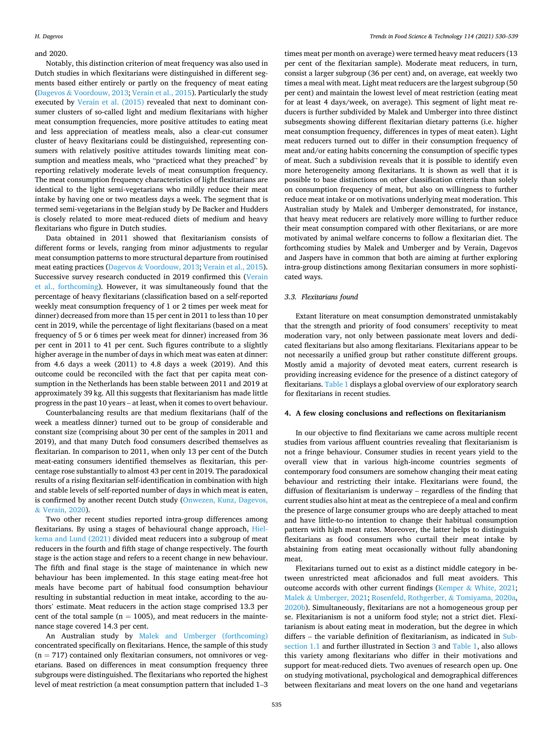# <span id="page-5-0"></span>and 2020.

Notably, this distinction criterion of meat frequency was also used in Dutch studies in which flexitarians were distinguished in different segments based either entirely or partly on the frequency of meat eating (Dagevos & [Voordouw, 2013](#page-7-0); [Verain et al., 2015\)](#page-9-0). Particularly the study executed by [Verain et al. \(2015\)](#page-9-0) revealed that next to dominant consumer clusters of so-called light and medium flexitarians with higher meat consumption frequencies, more positive attitudes to eating meat and less appreciation of meatless meals, also a clear-cut consumer cluster of heavy flexitarians could be distinguished, representing consumers with relatively positive attitudes towards limiting meat consumption and meatless meals, who "practiced what they preached" by reporting relatively moderate levels of meat consumption frequency. The meat consumption frequency characteristics of light flexitarians are identical to the light semi-vegetarians who mildly reduce their meat intake by having one or two meatless days a week. The segment that is termed semi-vegetarians in the Belgian study by De Backer and Hudders is closely related to more meat-reduced diets of medium and heavy flexitarians who figure in Dutch studies.

Data obtained in 2011 showed that flexitarianism consists of different forms or levels, ranging from minor adjustments to regular meat consumption patterns to more structural departure from routinised meat eating practices (Dagevos & [Voordouw, 2013;](#page-7-0) [Verain et al., 2015](#page-9-0)). Successive survey research conducted in 2019 confirmed this [\(Verain](#page-9-0)  [et al., forthcoming\)](#page-9-0). However, it was simultaneously found that the percentage of heavy flexitarians (classification based on a self-reported weekly meat consumption frequency of 1 or 2 times per week meat for dinner) decreased from more than 15 per cent in 2011 to less than 10 per cent in 2019, while the percentage of light flexitarians (based on a meat frequency of 5 or 6 times per week meat for dinner) increased from 36 per cent in 2011 to 41 per cent. Such figures contribute to a slightly higher average in the number of days in which meat was eaten at dinner: from 4.6 days a week (2011) to 4.8 days a week (2019). And this outcome could be reconciled with the fact that per capita meat consumption in the Netherlands has been stable between 2011 and 2019 at approximately 39 kg. All this suggests that flexitarianism has made little progress in the past 10 years – at least, when it comes to overt behaviour.

Counterbalancing results are that medium flexitarians (half of the week a meatless dinner) turned out to be group of considerable and constant size (comprising about 30 per cent of the samples in 2011 and 2019), and that many Dutch food consumers described themselves as flexitarian. In comparison to 2011, when only 13 per cent of the Dutch meat-eating consumers identified themselves as flexitarian, this percentage rose substantially to almost 43 per cent in 2019. The paradoxical results of a rising flexitarian self-identification in combination with high and stable levels of self-reported number of days in which meat is eaten, is confirmed by another recent Dutch study [\(Onwezen, Kunz, Dagevos,](#page-8-0)  & [Verain, 2020](#page-8-0)).

Two other recent studies reported intra-group differences among flexitarians. By using a stages of behavioural change approach, [Hiel](#page-8-0)[kema and Lund \(2021\)](#page-8-0) divided meat reducers into a subgroup of meat reducers in the fourth and fifth stage of change respectively. The fourth stage is the action stage and refers to a recent change in new behaviour. The fifth and final stage is the stage of maintenance in which new behaviour has been implemented. In this stage eating meat-free hot meals have become part of habitual food consumption behaviour resulting in substantial reduction in meat intake, according to the authors' estimate. Meat reducers in the action stage comprised 13.3 per cent of the total sample ( $n = 1005$ ), and meat reducers in the maintenance stage covered 14.3 per cent.

An Australian study by [Malek and Umberger \(forthcoming\)](#page-8-0)  concentrated specifically on flexitarians. Hence, the sample of this study  $(n = 717)$  contained only flexitarian consumers, not omnivores or vegetarians. Based on differences in meat consumption frequency three subgroups were distinguished. The flexitarians who reported the highest level of meat restriction (a meat consumption pattern that included 1–3

times meat per month on average) were termed heavy meat reducers (13 per cent of the flexitarian sample). Moderate meat reducers, in turn, consist a larger subgroup (36 per cent) and, on average, eat weekly two times a meal with meat. Light meat reducers are the largest subgroup (50 per cent) and maintain the lowest level of meat restriction (eating meat for at least 4 days/week, on average). This segment of light meat reducers is further subdivided by Malek and Umberger into three distinct subsegments showing different flexitarian dietary patterns (i.e. higher meat consumption frequency, differences in types of meat eaten). Light meat reducers turned out to differ in their consumption frequency of meat and/or eating habits concerning the consumption of specific types of meat. Such a subdivision reveals that it is possible to identify even more heterogeneity among flexitarians. It is shown as well that it is possible to base distinctions on other classification criteria than solely on consumption frequency of meat, but also on willingness to further reduce meat intake or on motivations underlying meat moderation. This Australian study by Malek and Umberger demonstrated, for instance, that heavy meat reducers are relatively more willing to further reduce their meat consumption compared with other flexitarians, or are more motivated by animal welfare concerns to follow a flexitarian diet. The forthcoming studies by Malek and Umberger and by Verain, Dagevos and Jaspers have in common that both are aiming at further exploring intra-group distinctions among flexitarian consumers in more sophisticated ways.

#### *3.3. Flexitarians found*

Extant literature on meat consumption demonstrated unmistakably that the strength and priority of food consumers' receptivity to meat moderation vary, not only between passionate meat lovers and dedicated flexitarians but also among flexitarians. Flexitarians appear to be not necessarily a unified group but rather constitute different groups. Mostly amid a majority of devoted meat eaters, current research is providing increasing evidence for the presence of a distinct category of flexitarians. [Table 1](#page-6-0) displays a global overview of our exploratory search for flexitarians in recent studies.

#### **4. A few closing conclusions and reflections on flexitarianism**

In our objective to find flexitarians we came across multiple recent studies from various affluent countries revealing that flexitarianism is not a fringe behaviour. Consumer studies in recent years yield to the overall view that in various high-income countries segments of contemporary food consumers are somehow changing their meat eating behaviour and restricting their intake. Flexitarians were found, the diffusion of flexitarianism is underway – regardless of the finding that current studies also hint at meat as the centrepiece of a meal and confirm the presence of large consumer groups who are deeply attached to meat and have little-to-no intention to change their habitual consumption pattern with high meat rates. Moreover, the latter helps to distinguish flexitarians as food consumers who curtail their meat intake by abstaining from eating meat occasionally without fully abandoning meat.

Flexitarians turned out to exist as a distinct middle category in between unrestricted meat aficionados and full meat avoiders. This outcome accords with other current findings (Kemper & [White, 2021](#page-8-0); Malek & [Umberger, 2021](#page-8-0); [Rosenfeld, Rothgerber,](#page-8-0) & Tomiyama, 2020a, [2020b\)](#page-9-0). Simultaneously, flexitarians are not a homogeneous group per se. Flexitarianism is not a uniform food style; not a strict diet. Flexitarianism is about eating meat in moderation, but the degree in which differs – the variable definition of flexitarianism, as indicated in [Sub](#page-1-0)[section 1.1](#page-1-0) and further illustrated in Section [3](#page-3-0) and [Table 1](#page-6-0), also allows this variety among flexitarians who differ in their motivations and support for meat-reduced diets. Two avenues of research open up. One on studying motivational, psychological and demographical differences between flexitarians and meat lovers on the one hand and vegetarians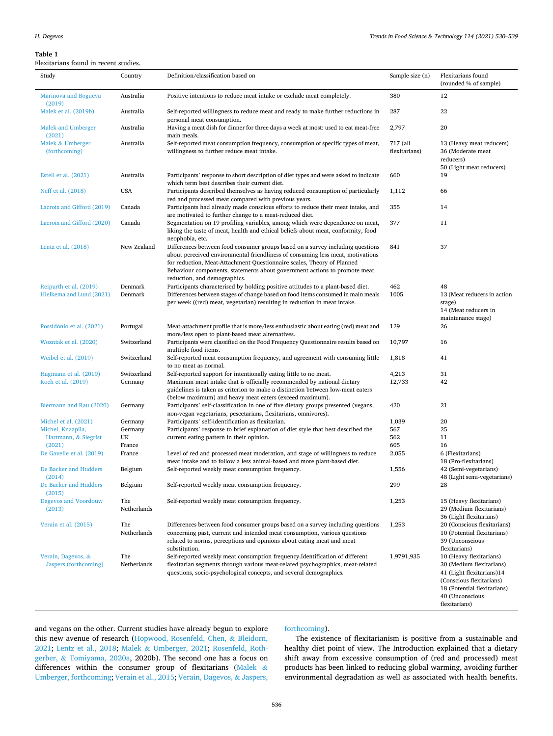# <span id="page-6-0"></span>**Table 1**

# Flexitarians found in recent studies.

| icanamano rounu in recent studico.          |                    |                                                                                                                                                                                                                                                                                                                                                         |                           |                                                                                                                                                                |
|---------------------------------------------|--------------------|---------------------------------------------------------------------------------------------------------------------------------------------------------------------------------------------------------------------------------------------------------------------------------------------------------------------------------------------------------|---------------------------|----------------------------------------------------------------------------------------------------------------------------------------------------------------|
| Study                                       | Country            | Definition/classification based on                                                                                                                                                                                                                                                                                                                      | Sample size (n)           | Flexitarians found<br>(rounded % of sample)                                                                                                                    |
| <b>Marinova and Bogueva</b><br>(2019)       | Australia          | Positive intentions to reduce meat intake or exclude meat completely.                                                                                                                                                                                                                                                                                   | 380                       | 12                                                                                                                                                             |
| Malek et al. (2019b)                        | Australia          | Self-reported willingness to reduce meat and ready to make further reductions in<br>personal meat consumption.                                                                                                                                                                                                                                          | 287                       | 22                                                                                                                                                             |
| Malek and Umberger<br>(2021)                | Australia          | Having a meat dish for dinner for three days a week at most: used to eat meat-free<br>main meals.                                                                                                                                                                                                                                                       | 2,797                     | 20                                                                                                                                                             |
| Malek & Umberger<br>(forthcoming)           | Australia          | Self-reported meat consumption frequency, consumption of specific types of meat,<br>willingness to further reduce meat intake.                                                                                                                                                                                                                          | 717 (all<br>flexitarians) | 13 (Heavy meat reducers)<br>36 (Moderate meat<br>reducers)<br>50 (Light meat reducers)                                                                         |
| Estell et al. (2021)                        | Australia          | Participants' response to short description of diet types and were asked to indicate<br>which term best describes their current diet.                                                                                                                                                                                                                   | 660                       | 19                                                                                                                                                             |
| Neff et al. (2018)                          | <b>USA</b>         | Participants described themselves as having reduced consumption of particularly<br>red and processed meat compared with previous years.                                                                                                                                                                                                                 | 1,112                     | 66                                                                                                                                                             |
| Lacroix and Gifford (2019)                  | Canada             | Participants had already made conscious efforts to reduce their meat intake, and<br>are motivated to further change to a meat-reduced diet.                                                                                                                                                                                                             | 355                       | 14                                                                                                                                                             |
| Lacroix and Gifford (2020)                  | Canada             | Segmentation on 19 profiling variables, among which were dependence on meat,<br>liking the taste of meat, health and ethical beliefs about meat, conformity, food<br>neophobia, etc.                                                                                                                                                                    | 377                       | 11                                                                                                                                                             |
| Lentz et al. $(2018)$                       | New Zealand        | Differences between food consumer groups based on a survey including questions<br>about perceived environmental friendliness of consuming less meat, motivations<br>for reduction, Meat-Attachment Questionnaire scales, Theory of Planned<br>Behaviour components, statements about government actions to promote meat<br>reduction, and demographics. | 841                       | 37                                                                                                                                                             |
| Reipurth et al. (2019)                      | Denmark            | Participants characterised by holding positive attitudes to a plant-based diet.                                                                                                                                                                                                                                                                         | 462                       | 48                                                                                                                                                             |
| Hielkema and Lund (2021)                    | Denmark            | Differences between stages of change based on food items consumed in main meals<br>per week ((red) meat, vegetarian) resulting in reduction in meat intake.                                                                                                                                                                                             | 1005                      | 13 (Meat reducers in action<br>stage)<br>14 (Meat reducers in<br>maintenance stage)                                                                            |
| Possidónio et al. (2021)                    | Portugal           | Meat-attachment profile that is more/less enthusiastic about eating (red) meat and<br>more/less open to plant-based meat alternatives.                                                                                                                                                                                                                  | 129                       | 26                                                                                                                                                             |
| Wozniak et al. (2020)                       | Switzerland        | Participants were classified on the Food Frequency Questionnaire results based on<br>multiple food items.                                                                                                                                                                                                                                               | 10,797                    | 16                                                                                                                                                             |
| Weibel et al. (2019)                        | Switzerland        | Self-reported meat consumption frequency, and agreement with consuming little<br>to no meat as normal.                                                                                                                                                                                                                                                  | 1,818                     | 41                                                                                                                                                             |
| Hagmann et al. (2019)                       | Switzerland        | Self-reported support for intentionally eating little to no meat.                                                                                                                                                                                                                                                                                       | 4,213                     | 31                                                                                                                                                             |
| Koch et al. (2019)                          | Germany            | Maximum meat intake that is officially recommended by national dietary<br>guidelines is taken as criterion to make a distinction between low-meat eaters<br>(below maximum) and heavy meat eaters (exceed maximum).                                                                                                                                     | 12,733                    | 42                                                                                                                                                             |
| Biermann and Rau (2020)                     | Germany            | Participants' self-classification in one of five dietary groups presented (vegans,<br>non-vegan vegetarians, pescetarians, flexitarians, omnivores).                                                                                                                                                                                                    | 420                       | 21                                                                                                                                                             |
| Michel et al. (2021)                        | Germany            | Participants' self-identification as flexitarian.                                                                                                                                                                                                                                                                                                       | 1,039                     | 20                                                                                                                                                             |
| Michel, Knaapila,                           | Germany            | Participants' response to brief explanation of diet style that best described the                                                                                                                                                                                                                                                                       | 567                       | 25                                                                                                                                                             |
| Hartmann, & Siegrist                        | UK                 | current eating pattern in their opinion.                                                                                                                                                                                                                                                                                                                | 562                       | 11                                                                                                                                                             |
| (2021)                                      | France             |                                                                                                                                                                                                                                                                                                                                                         | 605                       | 16                                                                                                                                                             |
| De Gavelle et al. (2019)                    | France             | Level of red and processed meat moderation, and stage of willingness to reduce<br>meat intake and to follow a less animal-based and more plant-based diet.                                                                                                                                                                                              | 2,055                     | 6 (Flexitarians)<br>18 (Pro-flexitarians)                                                                                                                      |
| De Backer and Hudders<br>(2014)             | Belgium            | Self-reported weekly meat consumption frequency.                                                                                                                                                                                                                                                                                                        | 1,556                     | 42 (Semi-vegetarians)<br>48 (Light semi-vegetarians)                                                                                                           |
| De Backer and Hudders<br>(2015)             | Belgium            | Self-reported weekly meat consumption frequency.                                                                                                                                                                                                                                                                                                        | 299                       | 28                                                                                                                                                             |
| Dagevos and Voordouw<br>(2013)              | The<br>Netherlands | Self-reported weekly meat consumption frequency.                                                                                                                                                                                                                                                                                                        | 1,253                     | 15 (Heavy flexitarians)<br>29 (Medium flexitarians)<br>36 (Light flexitarians)                                                                                 |
| Verain et al. (2015)                        | The<br>Netherlands | Differences between food consumer groups based on a survey including questions<br>concerning past, current and intended meat consumption, various questions<br>related to norms, perceptions and opinions about eating meat and meat<br>substitution.                                                                                                   | 1,253                     | 20 (Conscious flexitarians)<br>10 (Potential flexitarians)<br>39 (Unconscious<br>flexitarians)                                                                 |
| Verain, Dagevos, &<br>Jaspers (forthcoming) | The<br>Netherlands | Self-reported weekly meat consumption frequency.Identification of different<br>flexitarian segments through various meat-related psychographics, meat-related<br>questions, socio-psychological concepts, and several demographics.                                                                                                                     | 1,9791,935                | 10 (Heavy flexitarians)<br>30 (Medium flexitarians)<br>41 (Light flexitarians)14<br>(Conscious flexitarians)<br>18 (Potential flexitarians)<br>40 (Unconscious |

and vegans on the other. Current studies have already begun to explore this new avenue of research ([Hopwood, Rosenfeld, Chen,](#page-8-0) & Bleidorn, [2021;](#page-8-0) [Lentz et al., 2018](#page-8-0); Malek & [Umberger, 2021;](#page-8-0) [Rosenfeld, Roth](#page-8-0)gerber, & [Tomiyama, 2020a,](#page-8-0) 2020b). The second one has a focus on differences within the consumer group of flexitarians [\(Malek](#page-8-0) & [Umberger, forthcoming;](#page-8-0) [Verain et al., 2015](#page-9-0); [Verain, Dagevos,](#page-9-0) & Jaspers,

## [forthcoming\)](#page-9-0).

The existence of flexitarianism is positive from a sustainable and healthy diet point of view. The Introduction explained that a dietary shift away from excessive consumption of (red and processed) meat products has been linked to reducing global warming, avoiding further environmental degradation as well as associated with health benefits.

flexitarians)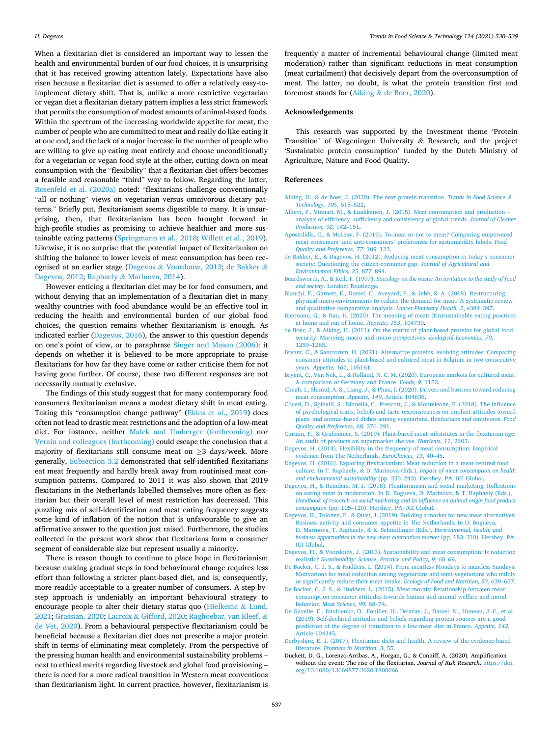<span id="page-7-0"></span>When a flexitarian diet is considered an important way to lessen the health and environmental burden of our food choices, it is unsurprising that it has received growing attention lately. Expectations have also risen because a flexitarian diet is assumed to offer a relatively easy-toimplement dietary shift. That is, unlike a more restrictive vegetarian or vegan diet a flexitarian dietary pattern implies a less strict framework that permits the consumption of modest amounts of animal-based foods. Within the spectrum of the increasing worldwide appetite for meat, the number of people who are committed to meat and really do like eating it at one end, and the lack of a major increase in the number of people who are willing to give up eating meat entirely and choose unconditionally for a vegetarian or vegan food style at the other, cutting down on meat consumption with the "flexibility" that a flexitarian diet offers becomes a feasible and reasonable "third" way to follow. Regarding the latter, [Rosenfeld et al. \(2020a\)](#page-8-0) noted: "flexitarians challenge conventionally "all or nothing" views on vegetarian versus omnivorous dietary patterns." Briefly put, flexitarianism seems digestible to many. It is unsurprising, then, that flexitarianism has been brought forward in high-profile studies as promising to achieve healthier and more sustainable eating patterns ([Springmann et al., 2018](#page-9-0); [Willett et al., 2019](#page-9-0)). Likewise, it is no surprise that the potential impact of flexitarianism on shifting the balance to lower levels of meat consumption has been recognised at an earlier stage (Dagevos & Voordouw, 2013; de Bakker & Dagevos, 2012; Raphaely & [Marinova, 2014](#page-8-0)).

However enticing a flexitarian diet may be for food consumers, and without denying that an implementation of a flexitarian diet in many wealthy countries with food abundance would be an effective tool in reducing the health and environmental burden of our global food choices, the question remains whether flexitarianism is enough. As indicated earlier (Dagevos, 2016), the answer to this question depends on one's point of view, or to paraphrase [Singer and Mason \(2006\)](#page-9-0): it depends on whether it is believed to be more appropriate to praise flexitarians for how far they have come or rather criticise them for not having gone further. Of course, these two different responses are not necessarily mutually exclusive.

The findings of this study suggest that for many contemporary food consumers flexitarianism means a modest dietary shift in meat eating. Taking this "consumption change pathway" [\(Ekins et al., 2019](#page-8-0)) does often not lead to drastic meat restrictions and the adoption of a low-meat diet. For instance, neither [Malek and Umberger \(forthcoming\)](#page-8-0) nor [Verain and colleagues \(forthcoming\)](#page-9-0) could escape the conclusion that a majority of flexitarians still consume meat on ≥3 days/week. More generally, [Subsection 3.2](#page-4-0) demonstrated that self-identified flexitarians eat meat frequently and hardly break away from routinised meat consumption patterns. Compared to 2011 it was also shown that 2019 flexitarians in the Netherlands labelled themselves more often as flexitarian but their overall level of meat restriction has decreased. This puzzling mix of self-identification and meat eating frequency suggests some kind of inflation of the notion that is unfavourable to give an affirmative answer to the question just raised. Furthermore, the studies collected in the present work show that flexitarians form a consumer segment of considerable size but represent usually a minority.

There is reason though to continue to place hope in flexitarianism because making gradual steps in food behavioural change requires less effort than following a stricter plant-based diet, and is, consequently, more readily acceptable to a greater number of consumers. A step-bystep approach is undeniably an important behavioural strategy to encourage people to alter their dietary status quo ([Hielkema](#page-8-0) & Lund, [2021; Grassian, 2020;](#page-8-0) Lacroix & [Gifford, 2020](#page-8-0); [Raghoebar, van Kleef,](#page-8-0) & [de Vet, 2020\)](#page-8-0). From a behavioural perspective flexitarianism could be beneficial because a flexitarian diet does not prescribe a major protein shift in terms of eliminating meat completely. From the perspective of the pressing human health and environmental sustainability problems – next to ethical merits regarding livestock and global food provisioning – there is need for a more radical transition in Western meat conventions than flexitarianism light. In current practice, however, flexitarianism is

frequently a matter of incremental behavioural change (limited meat moderation) rather than significant reductions in meat consumption (meat curtailment) that decisively depart from the overconsumption of meat. The latter, no doubt, is what the protein transition first and foremost stands for (Aiking & de Boer, 2020).

#### **Acknowledgements**

This research was supported by the Investment theme 'Protein Transition' of Wageningen University & Research, and the project 'Sustainable protein consumption' funded by the Dutch Ministry of Agriculture, Nature and Food Quality.

#### **References**

- [Aiking, H., & de Boer, J. \(2020\). The next protein transition.](http://refhub.elsevier.com/S0924-2244(21)00395-2/sref1) *Trends in Food Science & [Technology, 105](http://refhub.elsevier.com/S0924-2244(21)00395-2/sref1)*, 515–522.
- [Allievi, F., Vinnari, M., & Luukkanen, J. \(2015\). Meat consumption and production](http://refhub.elsevier.com/S0924-2244(21)00395-2/sref2)  [analysis of efficiency, sufficiency and consistency of global trends.](http://refhub.elsevier.com/S0924-2244(21)00395-2/sref2) *Journal of Cleaner [Production, 92](http://refhub.elsevier.com/S0924-2244(21)00395-2/sref2)*, 142–151.
- [Apostolidis, C., & McLeay, F. \(2019\). To meat or not to meat? Comparing empowered](http://refhub.elsevier.com/S0924-2244(21)00395-2/sref3) meat consumers' and anti-consumers' [preferences for sustainability labels.](http://refhub.elsevier.com/S0924-2244(21)00395-2/sref3) *Food [Quality and Preference, 77](http://refhub.elsevier.com/S0924-2244(21)00395-2/sref3)*, 109–122.
- [de Bakker, E., & Dagevos, H. \(2012\). Reducing meat consumption in today](http://refhub.elsevier.com/S0924-2244(21)00395-2/sref4)'s consumer [society: Questioning the citizen-consumer gap.](http://refhub.elsevier.com/S0924-2244(21)00395-2/sref4) *Journal of Agricultural and [Environmental Ethics, 25](http://refhub.elsevier.com/S0924-2244(21)00395-2/sref4)*, 877–894.
- Beardsworth, A., & Keil, T. (1997). *[Sociology on the menu: An invitation to the study of food](http://refhub.elsevier.com/S0924-2244(21)00395-2/sref5)  and society*[. London: Routledge](http://refhub.elsevier.com/S0924-2244(21)00395-2/sref5).
- [Bianchi, F., Garnett, E., Dorsel, C., Aveyard, P., & Jebb, S. A. \(2018\). Restructuring](http://refhub.elsevier.com/S0924-2244(21)00395-2/sref6) [physical micro-environments to reduce the demand for meat: A systematic review](http://refhub.elsevier.com/S0924-2244(21)00395-2/sref6)  [and qualitative comparative analysis.](http://refhub.elsevier.com/S0924-2244(21)00395-2/sref6) *Lancet Planetary Health, 2*, e384–397.
- [Biermann, G., & Rau, H. \(2020\). The meaning of meat: \(Un\)sustainable eating practices](http://refhub.elsevier.com/S0924-2244(21)00395-2/sref7)  [at home and out of home.](http://refhub.elsevier.com/S0924-2244(21)00395-2/sref7) *Appetite, 153*, 104730.
- [de Boer, J., & Aiking, H. \(2011\). On the merits of plant-based proteins for global food](http://refhub.elsevier.com/S0924-2244(21)00395-2/sref8)  [security: Marrying macro and micro perspectives.](http://refhub.elsevier.com/S0924-2244(21)00395-2/sref8) *Ecological Economics, 70*, [1259](http://refhub.elsevier.com/S0924-2244(21)00395-2/sref8)–1265.
- [Bryant, C., & Sanctorum, H. \(2021\). Alternative proteins, evolving attitudes: Comparing](http://refhub.elsevier.com/S0924-2244(21)00395-2/sref9)  [consumer attitudes to plant-based and cultured meat in Belgium in two consecutive](http://refhub.elsevier.com/S0924-2244(21)00395-2/sref9)  years. *[Appetite, 161](http://refhub.elsevier.com/S0924-2244(21)00395-2/sref9)*, 105161.
- [Bryant, C., Van Nek, L., & Rolland, N. C. M. \(2020\). European markets for cultured meat:](http://refhub.elsevier.com/S0924-2244(21)00395-2/sref10)  [A comparison of Germany and France.](http://refhub.elsevier.com/S0924-2244(21)00395-2/sref10) *Foods, 9*, 1152.
- [Cheah, I., Shimul, A. S., Liang, J., & Phau, I. \(2020\). Drivers and barriers toward reducing](http://refhub.elsevier.com/S0924-2244(21)00395-2/sref11)  [meat consumption.](http://refhub.elsevier.com/S0924-2244(21)00395-2/sref11) *Appetite, 149*, Article 104636.
- [Cliceri, D., Spinelli, S., Dinnella, C., Prescott, J., & Monteleone, E. \(2018\). The influence](http://refhub.elsevier.com/S0924-2244(21)00395-2/sref12)  [of psychological traits, beliefs and taste responsiveness on implicit attitudes toward](http://refhub.elsevier.com/S0924-2244(21)00395-2/sref12)  [plant- and animal-based dishes among vegetarians, flexitarians and omnivores.](http://refhub.elsevier.com/S0924-2244(21)00395-2/sref12) *Food [Quality and Preference, 68](http://refhub.elsevier.com/S0924-2244(21)00395-2/sref12)*, 276–291.
- [Curtain, F., & Grafenauer, S. \(2019\). Plant-based meat substitutes in the flexitarian age:](http://refhub.elsevier.com/S0924-2244(21)00395-2/sref13)  [An audit of products on supermarket shelves.](http://refhub.elsevier.com/S0924-2244(21)00395-2/sref13) *Nutrients, 11*, 2603.
- [Dagevos, H. \(2014\). Flexibility in the frequency of meat consumption: Empirical](http://refhub.elsevier.com/S0924-2244(21)00395-2/sref14) [evidence from The Netherlands.](http://refhub.elsevier.com/S0924-2244(21)00395-2/sref14) *EuroChoices, 13*, 40–45.
- [Dagevos, H. \(2016\). Exploring flexitarianism: Meat reduction in a meat-centred food](http://refhub.elsevier.com/S0924-2244(21)00395-2/sref15) [culture. In T. Raphaely, & D. Marinova \(Eds.\),](http://refhub.elsevier.com/S0924-2244(21)00395-2/sref15) *Impact of meat consumption on health [and environmental sustainability](http://refhub.elsevier.com/S0924-2244(21)00395-2/sref15)* (pp. 233–243). Hershey, PA: IGI Global.
- [Dagevos, H., & Reinders, M. J. \(2018\). Flexitarianism and social marketing: Reflections](http://refhub.elsevier.com/S0924-2244(21)00395-2/sref16)  [on eating meat in moderation. In D. Bogueva, D. Marinova, & T. Raphaely \(Eds.\),](http://refhub.elsevier.com/S0924-2244(21)00395-2/sref16)  *[Handbook of research on social marketing and its influence on animal origin food product](http://refhub.elsevier.com/S0924-2244(21)00395-2/sref16)  consumption* (pp. 105–[120\). Hershey, PA: IGI Global.](http://refhub.elsevier.com/S0924-2244(21)00395-2/sref16)
- [Dagevos, H., Tolonen, E., & Quist, J. \(2019\). Building a market for new meat alternatives:](http://refhub.elsevier.com/S0924-2244(21)00395-2/sref17)  [Business activity and consumer appetite in The Netherlands. In D. Bogueva,](http://refhub.elsevier.com/S0924-2244(21)00395-2/sref17) [D. Marinova, T. Raphaely, & K. Schmidinger \(Eds.\),](http://refhub.elsevier.com/S0924-2244(21)00395-2/sref17) *Environmental, health, and [business opportunities in the new meat alternatives market](http://refhub.elsevier.com/S0924-2244(21)00395-2/sref17)* (pp. 183–210). Hershey, PA: [IGI Global.](http://refhub.elsevier.com/S0924-2244(21)00395-2/sref17)
- [Dagevos, H., & Voordouw, J. \(2013\). Sustainability and meat consumption: Is reduction](http://refhub.elsevier.com/S0924-2244(21)00395-2/sref18)  realistic? *[Sustainability: Science, Practice and Policy, 9](http://refhub.elsevier.com/S0924-2244(21)00395-2/sref18)*, 60–69.
- [De Backer, C. J. S., & Hudders, L. \(2014\). From meatless Mondays to meatless Sundays:](http://refhub.elsevier.com/S0924-2244(21)00395-2/sref19)  [Motivations for meat reduction among vegetarians and semi-vegetarians who mildly](http://refhub.elsevier.com/S0924-2244(21)00395-2/sref19)  [or significantly reduce their meat intake.](http://refhub.elsevier.com/S0924-2244(21)00395-2/sref19) *Ecology of Food and Nutrition, 53*, 639–657.
- [De Backer, C. J. S., & Hudders, L. \(2015\). Meat morals: Relationship between meat](http://refhub.elsevier.com/S0924-2244(21)00395-2/sref20) [consumption consumer attitudes towards human and animal welfare and moral](http://refhub.elsevier.com/S0924-2244(21)00395-2/sref20)  behavior. *[Meat Science, 99](http://refhub.elsevier.com/S0924-2244(21)00395-2/sref20)*, 68–74.
- [De Gavelle, E., Davidenko, O., Fouillet, H., Delarue, J., Darcel, N., Huneau, J.-F., et al.](http://refhub.elsevier.com/S0924-2244(21)00395-2/sref21) [\(2019\). Self-declared attitudes and beliefs regarding protein sources are a good](http://refhub.elsevier.com/S0924-2244(21)00395-2/sref21)  [prediction of the degree of transition to a low-meat diet in France.](http://refhub.elsevier.com/S0924-2244(21)00395-2/sref21) *Appetite, 142*, [Article 104345](http://refhub.elsevier.com/S0924-2244(21)00395-2/sref21).
- [Derbyshire, E. J. \(2017\). Flexitarian diets and health: A review of the evidence-based](http://refhub.elsevier.com/S0924-2244(21)00395-2/sref22) literature. *[Frontiers in Nutrition, 3](http://refhub.elsevier.com/S0924-2244(21)00395-2/sref22)*, 55.
- Duckett, D. G., Lorenzo-Arribas, A., Horgan, G., & Conniff, A. (2020). Amplification without the event: The rise of the flexitarian. *Journal of Risk Research*. [https://doi.](https://doi.org/10.1080/13669877.2020.1800066)  [org/10.1080/13669877.2020.1800066](https://doi.org/10.1080/13669877.2020.1800066)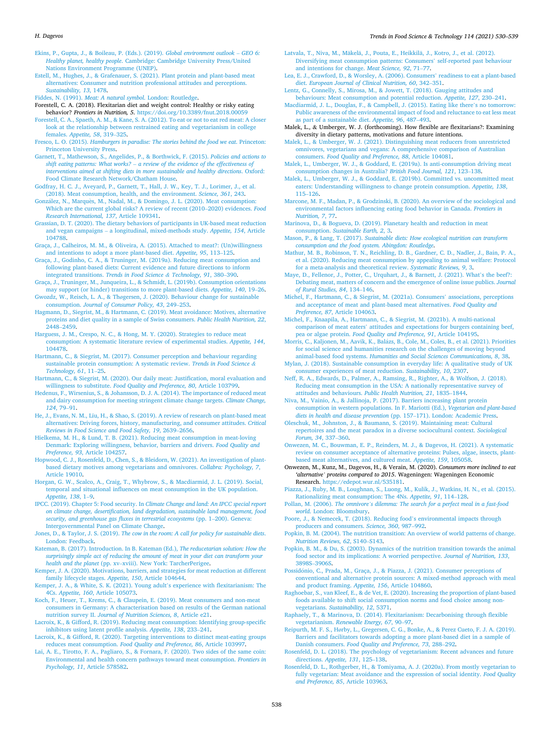#### <span id="page-8-0"></span>*H. Dagevos*

[Ekins, P., Gupta, J., & Boileau, P. \(Eds.\). \(2019\).](http://refhub.elsevier.com/S0924-2244(21)00395-2/sref24) *Global environment outlook* – *GEO 6: Healthy planet, healthy people*[. Cambridge: Cambridge University Press/United](http://refhub.elsevier.com/S0924-2244(21)00395-2/sref24) [Nations Environment Programme \(UNEP\)](http://refhub.elsevier.com/S0924-2244(21)00395-2/sref24).

[Estell, M., Hughes, J., & Grafenauer, S. \(2021\). Plant protein and plant-based meat](http://refhub.elsevier.com/S0924-2244(21)00395-2/sref25)  [alternatives: Consumer and nutrition professional attitudes and perceptions.](http://refhub.elsevier.com/S0924-2244(21)00395-2/sref25) *[Sustainability, 13](http://refhub.elsevier.com/S0924-2244(21)00395-2/sref25)*, 1478.

Fiddes, N. (1991). *[Meat: A natural symbol](http://refhub.elsevier.com/S0924-2244(21)00395-2/sref26)*. London: Routledge.

- Forestell, C. A. (2018). Flexitarian diet and weight control: Healthy or risky eating behavior? *Frontiers in Nutrition, 5*. <https://doi.org/10.3389/fnut.2018.00059>
- [Forestell, C. A., Spaeth, A. M., & Kane, S. A. \(2012\). To eat or not to eat red meat: A closer](http://refhub.elsevier.com/S0924-2244(21)00395-2/sref28)  [look at the relationship between restrained eating and vegetarianism in college](http://refhub.elsevier.com/S0924-2244(21)00395-2/sref28)  females. *[Appetite, 58](http://refhub.elsevier.com/S0924-2244(21)00395-2/sref28)*, 319–325.
- Fresco, L. O. (2015). *[Hamburgers in paradise: The stories behind the food we eat](http://refhub.elsevier.com/S0924-2244(21)00395-2/sref29)*. Princeton: [Princeton University Press](http://refhub.elsevier.com/S0924-2244(21)00395-2/sref29).
- [Garnett, T., Mathewson, S., Angelides, P., & Borthwick, F. \(2015\).](http://refhub.elsevier.com/S0924-2244(21)00395-2/sref30) *Policies and actions to shift eating patterns: What works?* – *[a review of the evidence of the effectiveness of](http://refhub.elsevier.com/S0924-2244(21)00395-2/sref30) [interventions aimed at shifting diets in more sustainable and healthy directions](http://refhub.elsevier.com/S0924-2244(21)00395-2/sref30)*. Oxford: [Food Climate Research Network/Chatham House](http://refhub.elsevier.com/S0924-2244(21)00395-2/sref30).
- [Godfray, H. C. J., Aveyard, P., Garnett, T., Hall, J. W., Key, T. J., Lorimer, J., et al.](http://refhub.elsevier.com/S0924-2244(21)00395-2/sref31)  [\(2018\). Meat consumption, health, and the environment.](http://refhub.elsevier.com/S0924-2244(21)00395-2/sref31) *Science, 361*, 243.
- González, N., Marquès, M., Nadal, M., & Domingo, J. L. (2020). Meat consumption: [Which are the current global risks? A review of recent \(2010](http://refhub.elsevier.com/S0924-2244(21)00395-2/sref32)–2020) evidences. *Food [Research International, 137](http://refhub.elsevier.com/S0924-2244(21)00395-2/sref32)*, Article 109341.
- [Grassian, D. T. \(2020\). The dietary behaviors of participants in UK-based meat reduction](http://refhub.elsevier.com/S0924-2244(21)00395-2/sref33)  and vegan campaigns – [a longitudinal, mixed-methods study.](http://refhub.elsevier.com/S0924-2244(21)00395-2/sref33) *Appetite, 154*, Article [104788](http://refhub.elsevier.com/S0924-2244(21)00395-2/sref33).
- [Graça, J., Calheiros, M. M., & Oliveira, A. \(2015\). Attached to meat?: \(Un\)willingness](http://refhub.elsevier.com/S0924-2244(21)00395-2/sref34)  [and intentions to adopt a more plant-based diet.](http://refhub.elsevier.com/S0924-2244(21)00395-2/sref34) *Appetite, 95*, 113–125.

[Graça, J., Godinho, C. A., & Truninger, M. \(2019a\). Reducing meat consumption and](http://refhub.elsevier.com/S0924-2244(21)00395-2/sref35)  [following plant-based diets: Current evidence and future directions to inform](http://refhub.elsevier.com/S0924-2244(21)00395-2/sref35)  [integrated transitions.](http://refhub.elsevier.com/S0924-2244(21)00395-2/sref35) *Trends in Food Science & Technology, 91*, 380–390.

[Graça, J., Truninger, M., Junqueira, L., & Schmidt, L. \(2019b\). Consumption orientations](http://refhub.elsevier.com/S0924-2244(21)00395-2/sref36)  [may support \(or hinder\) transitions to more plant-based diets.](http://refhub.elsevier.com/S0924-2244(21)00395-2/sref36) *Appetite, 140*, 19–26.

Gwozdz, W., Reisch, L. A., & Thø[gersen, J. \(2020\). Behaviour change for sustainable](http://refhub.elsevier.com/S0924-2244(21)00395-2/sref37) consumption. *[Journal of Consumer Policy, 43](http://refhub.elsevier.com/S0924-2244(21)00395-2/sref37)*, 249–253.

[Hagmann, D., Siegrist, M., & Hartmann, C. \(2019\). Meat avoidance: Motives, alternative](http://refhub.elsevier.com/S0924-2244(21)00395-2/sref38)  [proteins and diet quality in a sample of Swiss consumers.](http://refhub.elsevier.com/S0924-2244(21)00395-2/sref38) *Public Health Nutrition, 22*, [2448](http://refhub.elsevier.com/S0924-2244(21)00395-2/sref38)–2459.

[Harguess, J. M., Crespo, N. C., & Hong, M. Y. \(2020\). Strategies to reduce meat](http://refhub.elsevier.com/S0924-2244(21)00395-2/sref39) [consumption: A systematic literature review of experimental studies.](http://refhub.elsevier.com/S0924-2244(21)00395-2/sref39) *Appetite, 144*, [104478](http://refhub.elsevier.com/S0924-2244(21)00395-2/sref39).

[Hartmann, C., & Siegrist, M. \(2017\). Consumer perception and behaviour regarding](http://refhub.elsevier.com/S0924-2244(21)00395-2/sref40)  [sustainable protein consumption: A systematic review.](http://refhub.elsevier.com/S0924-2244(21)00395-2/sref40) *Trends in Food Science & [Technology, 61](http://refhub.elsevier.com/S0924-2244(21)00395-2/sref40)*, 11–25.

- [Hartmann, C., & Siegrist, M. \(2020\). Our daily meat: Justification, moral evaluation and](http://refhub.elsevier.com/S0924-2244(21)00395-2/sref41)  willingness to substitute. *[Food Quality and Preference, 80](http://refhub.elsevier.com/S0924-2244(21)00395-2/sref41)*, Article 103799.
- [Hedenus, F., Wirsenius, S., & Johansson, D. J. A. \(2014\). The importance of reduced meat](http://refhub.elsevier.com/S0924-2244(21)00395-2/sref42)  [and dairy consumption for meeting stringent climate change targets.](http://refhub.elsevier.com/S0924-2244(21)00395-2/sref42) *Climate Change, 124*[, 79](http://refhub.elsevier.com/S0924-2244(21)00395-2/sref42)–91.
- [He, J., Evans, N. M., Liu, H., & Shao, S. \(2019\). A review of research on plant-based meat](http://refhub.elsevier.com/S0924-2244(21)00395-2/sref43)  [alternatives: Driving forces, history, manufacturing, and consumer attitudes.](http://refhub.elsevier.com/S0924-2244(21)00395-2/sref43) *Critical [Reviews in Food Science and Food Safety, 19](http://refhub.elsevier.com/S0924-2244(21)00395-2/sref43)*, 2639–2656.
- [Hielkema, M. H., & Lund, T. B. \(2021\). Reducing meat consumption in meat-loving](http://refhub.elsevier.com/S0924-2244(21)00395-2/sref44)  [Denmark: Exploring willingness, behavior, barriers and drivers.](http://refhub.elsevier.com/S0924-2244(21)00395-2/sref44) *Food Quality and Preference, 93*[, Article 104257.](http://refhub.elsevier.com/S0924-2244(21)00395-2/sref44)
- [Hopwood, C. J., Rosenfeld, D., Chen, S., & Bleidorn, W. \(2021\). An investigation of plant](http://refhub.elsevier.com/S0924-2244(21)00395-2/sref45)[based dietary motives among vegetarians and omnivores.](http://refhub.elsevier.com/S0924-2244(21)00395-2/sref45) *Collabra: Psychology, 7*, [Article 19010](http://refhub.elsevier.com/S0924-2244(21)00395-2/sref45).

[Horgan, G. W., Scalco, A., Craig, T., Whybrow, S., & Macdiarmid, J. L. \(2019\). Social,](http://refhub.elsevier.com/S0924-2244(21)00395-2/sref46) [temporal and situational influences on meat consumption in the UK population.](http://refhub.elsevier.com/S0924-2244(21)00395-2/sref46)  *[Appetite, 138](http://refhub.elsevier.com/S0924-2244(21)00395-2/sref46)*, 1–9.

IPCC. (2019). Chapter 5: Food security. In *[Climate Change and land: An IPCC special report](http://refhub.elsevier.com/S0924-2244(21)00395-2/sref47)  [on climate change, desertification, land degradation, sustainable land management, food](http://refhub.elsevier.com/S0924-2244(21)00395-2/sref47)  [security, and greenhouse gas fluxes in terrestrial ecosystems](http://refhub.elsevier.com/S0924-2244(21)00395-2/sref47)* (pp. 1–200). Geneva: [Intergovernmental Panel on Climate Change.](http://refhub.elsevier.com/S0924-2244(21)00395-2/sref47)

Jones, D., & Taylor, J. S. (2019). *[The cow in the room: A call for policy for sustainable diets](http://refhub.elsevier.com/S0924-2244(21)00395-2/sref48)*. [London: Feedback](http://refhub.elsevier.com/S0924-2244(21)00395-2/sref48).

[Kateman, B. \(2017\). Introduction. In B. Kateman \(Ed.\),](http://refhub.elsevier.com/S0924-2244(21)00395-2/sref49) *The reducetarian solution: How the [surprisingly simple act of reducing the amount of meat in your diet can transform your](http://refhub.elsevier.com/S0924-2244(21)00395-2/sref49) health and the planet* (pp. xv–[xviii\). New York: TarcherPerigee](http://refhub.elsevier.com/S0924-2244(21)00395-2/sref49).

[Kemper, J. A. \(2020\). Motivations, barriers, and strategies for meat reduction at different](http://refhub.elsevier.com/S0924-2244(21)00395-2/sref50)  [family lifecycle stages.](http://refhub.elsevier.com/S0924-2244(21)00395-2/sref50) *Appetite, 150*, Article 104644.

- [Kemper, J. A., & White, S. K. \(2021\). Young adult](http://refhub.elsevier.com/S0924-2244(21)00395-2/sref51)'s experience with flexitarianism: The 4Cs. *Appetite, 160*[, Article 105073](http://refhub.elsevier.com/S0924-2244(21)00395-2/sref51).
- [Koch, F., Heuer, T., Krems, C., & Claupein, E. \(2019\). Meat consumers and non-meat](http://refhub.elsevier.com/S0924-2244(21)00395-2/sref52) [consumers in Germany: A characterisation based on results of the German national](http://refhub.elsevier.com/S0924-2244(21)00395-2/sref52)  nutrition survey II. *[Journal of Nutrition Sciences, 8](http://refhub.elsevier.com/S0924-2244(21)00395-2/sref52)*, Article e21.

[Lacroix, K., & Gifford, R. \(2019\). Reducing meat consumption: Identifying group-specific](http://refhub.elsevier.com/S0924-2244(21)00395-2/sref53)  [inhibitors using latent profile analysis.](http://refhub.elsevier.com/S0924-2244(21)00395-2/sref53) *Appetite, 138*, 233–241.

- [Lacroix, K., & Gifford, R. \(2020\). Targeting interventions to distinct meat-eating groups](http://refhub.elsevier.com/S0924-2244(21)00395-2/sref54)  reduces meat consumption. *[Food Quality and Preference, 86](http://refhub.elsevier.com/S0924-2244(21)00395-2/sref54)*, Article 103997.
- [Lai, A. E., Tirotto, F. A., Pagliaro, S., & Fornara, F. \(2020\). Two sides of the same coin:](http://refhub.elsevier.com/S0924-2244(21)00395-2/sref55)  [Environmental and health concern pathways toward meat consumption.](http://refhub.elsevier.com/S0924-2244(21)00395-2/sref55) *Frontiers in Psychology, 11*[, Article 578582](http://refhub.elsevier.com/S0924-2244(21)00395-2/sref55).

#### *Trends in Food Science & Technology 114 (2021) 530–539*

- Latvala, T., Niva, M., Mäkelä, J., Pouta, E., Heikkilä, J., Kotro, J., et al. (2012). [Diversifying meat consumption patterns: Consumers](http://refhub.elsevier.com/S0924-2244(21)00395-2/sref56)' self-reported past behaviour [and intentions for change.](http://refhub.elsevier.com/S0924-2244(21)00395-2/sref56) *Meat Science, 92*, 71–77.
- [Lea, E. J., Crawford, D., & Worsley, A. \(2006\). Consumers](http://refhub.elsevier.com/S0924-2244(21)00395-2/sref57)' readiness to eat a plant-based diet. *[European Journal of Clinical Nutrition, 60](http://refhub.elsevier.com/S0924-2244(21)00395-2/sref57)*, 342–351.

[Lentz, G., Connelly, S., Mirosa, M., & Jowett, T. \(2018\). Gauging attitudes and](http://refhub.elsevier.com/S0924-2244(21)00395-2/sref58) [behaviours: Meat consumption and potential reduction.](http://refhub.elsevier.com/S0924-2244(21)00395-2/sref58) *Appetite, 127*, 230–241.

[Macdiarmid, J. L., Douglas, F., & Campbell, J. \(2015\). Eating like there](http://refhub.elsevier.com/S0924-2244(21)00395-2/sref59)'s no tomorrow: [Public awareness of the environmental impact of food and reluctance to eat less meat](http://refhub.elsevier.com/S0924-2244(21)00395-2/sref59)  [as part of a sustainable diet.](http://refhub.elsevier.com/S0924-2244(21)00395-2/sref59) *Appetite, 96*, 487–493.

Malek, L., & Umberger, W. J. (forthcoming). How flexible are flexitarians?: Examining diversity in dietary patterns, motivations and future intentions.

[Malek, L., & Umberger, W. J. \(2021\). Distinguishing meat reducers from unrestricted](http://refhub.elsevier.com/S0924-2244(21)00395-2/sref61)  [omnivores, vegetarians and vegans: A comprehensive comparison of Australian](http://refhub.elsevier.com/S0924-2244(21)00395-2/sref61) consumers. *[Food Quality and Preference, 88](http://refhub.elsevier.com/S0924-2244(21)00395-2/sref61)*, Article 104081.

[Malek, L., Umberger, W. J., & Goddard, E. \(2019a\). Is anti-consumption driving meat](http://refhub.elsevier.com/S0924-2244(21)00395-2/sref62)  [consumption changes in Australia?](http://refhub.elsevier.com/S0924-2244(21)00395-2/sref62) *British Food Journal, 121*, 123–138.

[Malek, L., Umberger, W. J., & Goddard, E. \(2019b\). Committed vs. uncommitted meat](http://refhub.elsevier.com/S0924-2244(21)00395-2/sref63) [eaters: Understanding willingness to change protein consumption.](http://refhub.elsevier.com/S0924-2244(21)00395-2/sref63) *Appetite, 138*, 115–[126](http://refhub.elsevier.com/S0924-2244(21)00395-2/sref63).

[Marcone, M. F., Madan, P., & Grodzinski, B. \(2020\). An overview of the sociological and](http://refhub.elsevier.com/S0924-2244(21)00395-2/sref64)  [environmental factors influencing eating food behavior in Canada.](http://refhub.elsevier.com/S0924-2244(21)00395-2/sref64) *Frontiers in [Nutrition, 7](http://refhub.elsevier.com/S0924-2244(21)00395-2/sref64)*, 77.

Marinova, D., & Bogueva, D. (2019). Planetary health and reduction in meat consumption. *[Sustainable Earth, 2](http://refhub.elsevier.com/S0924-2244(21)00395-2/sref65)*, 3.

Mason, P., & Lang, T. (2017). *[Sustainable diets: How ecological nutrition can transform](http://refhub.elsevier.com/S0924-2244(21)00395-2/sref66)  [consumption and the food system. Abingdon: Routledge](http://refhub.elsevier.com/S0924-2244(21)00395-2/sref66)*.

- [Mathur, M. B., Robinson, T. N., Reichling, D. B., Gardner, C. D., Nadler, J., Bain, P. A.,](http://refhub.elsevier.com/S0924-2244(21)00395-2/sref67)  [et al. \(2020\). Reducing meat consumption by appealing to animal welfare: Protocol](http://refhub.elsevier.com/S0924-2244(21)00395-2/sref67)  [for a meta-analysis and theoretical review.](http://refhub.elsevier.com/S0924-2244(21)00395-2/sref67) *Systematic Reviews, 9*, 3.
- [Maye, D., Fellenor, J., Potter, C., Urquhart, J., & Barnett, J. \(2021\). What](http://refhub.elsevier.com/S0924-2244(21)00395-2/sref68)'s the beef?: [Debating meat, matters of concern and the emergence of online issue publics.](http://refhub.elsevier.com/S0924-2244(21)00395-2/sref68) *Journal [of Rural Studies, 84](http://refhub.elsevier.com/S0924-2244(21)00395-2/sref68)*, 134–146.
- [Michel, F., Hartmann, C., & Siegrist, M. \(2021a\). Consumers](http://refhub.elsevier.com/S0924-2244(21)00395-2/sref69)' associations, perceptions [and acceptance of meat and plant-based meat alternatives.](http://refhub.elsevier.com/S0924-2244(21)00395-2/sref69) *Food Quality and Preference, 87*[, Article 104063.](http://refhub.elsevier.com/S0924-2244(21)00395-2/sref69)
- [Michel, F., Knaapila, A., Hartmann, C., & Siegrist, M. \(2021b\). A multi-national](http://refhub.elsevier.com/S0924-2244(21)00395-2/sref70)  comparison of meat eaters' [attitudes and expectations for burgers containing beef,](http://refhub.elsevier.com/S0924-2244(21)00395-2/sref70)  pea or algae protein. *[Food Quality and Preference, 91](http://refhub.elsevier.com/S0924-2244(21)00395-2/sref70)*, Article 104195.

Morris, C., Kaljonen, M., Aavik, K., Balázs, B., Cole, M., Coles, B., et al. (2021). Priorities [for social science and humanities research on the challenges of moving beyond](http://refhub.elsevier.com/S0924-2244(21)00395-2/sref71)  animal-based food systems. *[Humanities and Social Sciences Communications, 8](http://refhub.elsevier.com/S0924-2244(21)00395-2/sref71)*, 38.

[Mylan, J. \(2018\). Sustainable consumption in everyday life: A qualitative study of UK](http://refhub.elsevier.com/S0924-2244(21)00395-2/sref72) [consumer experiences of meat reduction.](http://refhub.elsevier.com/S0924-2244(21)00395-2/sref72) *Sustainability, 10*, 2307.

[Neff, R. A., Edwards, D., Palmer, A., Ramsing, R., Righter, A., & Wolfson, J. \(2018\).](http://refhub.elsevier.com/S0924-2244(21)00395-2/sref73)  [Reducing meat consumption in the USA: A nationally representative survey of](http://refhub.elsevier.com/S0924-2244(21)00395-2/sref73)  [attitudes and behaviours.](http://refhub.elsevier.com/S0924-2244(21)00395-2/sref73) *Public Health Nutrition, 21*, 1835–1844.

[Niva, M., Vainio, A., & Jallinoja, P. \(2017\). Barriers increasing plant protein](http://refhub.elsevier.com/S0924-2244(21)00395-2/sref74)  [consumption in western populations. In F. Mariotti \(Ed.\),](http://refhub.elsevier.com/S0924-2244(21)00395-2/sref74) *Vegetarian and plant-based* 

*[diets in health and disease prevention](http://refhub.elsevier.com/S0924-2244(21)00395-2/sref74)* (pp. 157–171). London: Academic Press. [Oleschuk, M., Johnston, J., & Baumann, S. \(2019\). Maintaining meat: Cultural](http://refhub.elsevier.com/S0924-2244(21)00395-2/sref75)  [repertoires and the meat paradox in a diverse sociocultural context.](http://refhub.elsevier.com/S0924-2244(21)00395-2/sref75) *Sociological [Forum, 34](http://refhub.elsevier.com/S0924-2244(21)00395-2/sref75)*, 337–360.

[Onwezen, M. C., Bouwman, E. P., Reinders, M. J., & Dagevos, H. \(2021\). A systematic](http://refhub.elsevier.com/S0924-2244(21)00395-2/sref76) [review on consumer acceptance of alternative proteins: Pulses, algae, insects, plant](http://refhub.elsevier.com/S0924-2244(21)00395-2/sref76)[based meat alternatives, and cultured meat.](http://refhub.elsevier.com/S0924-2244(21)00395-2/sref76) *Appetite, 159*, 105058.

Onwezen, M., Kunz, M., Dagevos, H., & Verain, M. (2020). *Consumers more inclined to eat*  'alternative' proteins compared to 2015. Wageningen: Wageningen Economic Research. [https://edepot.wur.nl/535181.](https://edepot.wur.nl/535181)

[Piazza, J., Ruby, M. B., Loughnan, S., Luong, M., Kulik, J., Watkins, H. N., et al. \(2015\).](http://refhub.elsevier.com/S0924-2244(21)00395-2/sref78)  [Rationalizing meat consumption: The 4Ns.](http://refhub.elsevier.com/S0924-2244(21)00395-2/sref78) *Appetite, 91*, 114–128.

Pollan, M. (2006). *The omnivore'[s dilemma: The search for a perfect meal in a fast-food](http://refhub.elsevier.com/S0924-2244(21)00395-2/sref79)  world*[. London: Bloomsbury](http://refhub.elsevier.com/S0924-2244(21)00395-2/sref79).

[Poore, J., & Nemecek, T. \(2018\). Reducing food](http://refhub.elsevier.com/S0924-2244(21)00395-2/sref80)'s environmental impacts through [producers and consumers.](http://refhub.elsevier.com/S0924-2244(21)00395-2/sref80) *Science, 360*, 987–992.

[Popkin, B. M. \(2004\). The nutrition transition: An overview of world patterns of change.](http://refhub.elsevier.com/S0924-2244(21)00395-2/sref81)  *[Nutrition Reviews, 62](http://refhub.elsevier.com/S0924-2244(21)00395-2/sref81)*, S140–S143.

[Popkin, B. M., & Du, S. \(2003\). Dynamics of the nutrition transition towards the animal](http://refhub.elsevier.com/S0924-2244(21)00395-2/sref82)  [food sector and its implications: A worried perspective.](http://refhub.elsevier.com/S0924-2244(21)00395-2/sref82) *Journal of Nutrition, 133*, 3898S–[3906S](http://refhub.elsevier.com/S0924-2244(21)00395-2/sref82).

Possidónio, [C., Prada, M., Graça, J., & Piazza, J. \(2021\). Consumer perceptions of](http://refhub.elsevier.com/S0924-2244(21)00395-2/sref83) [conventional and alternative protein sources: A mixed-method approach with meal](http://refhub.elsevier.com/S0924-2244(21)00395-2/sref83)  [and product framing.](http://refhub.elsevier.com/S0924-2244(21)00395-2/sref83) *Appetite, 156*, Article 104860.

[Raghoebar, S., van Kleef, E., & de Vet, E. \(2020\). Increasing the proportion of plant-based](http://refhub.elsevier.com/S0924-2244(21)00395-2/sref84)  [foods available to shift social consumption norms and food choice among non](http://refhub.elsevier.com/S0924-2244(21)00395-2/sref84)vegetarians. *[Sustainability, 12](http://refhub.elsevier.com/S0924-2244(21)00395-2/sref84)*, 5371.

[Raphaely, T., & Marinova, D. \(2014\). Flexitarianism: Decarbonising through flexible](http://refhub.elsevier.com/S0924-2244(21)00395-2/sref85) vegetarianism. *[Renewable Energy, 67](http://refhub.elsevier.com/S0924-2244(21)00395-2/sref85)*, 90–97.

Reipurth, M. F. S., Hø[rby, L., Gregersen, C. G., Bonke, A., & Perez Cueto, F. J. A. \(2019\).](http://refhub.elsevier.com/S0924-2244(21)00395-2/sref86)  [Barriers and facilitators towards adopting a more plant-based diet in a sample of](http://refhub.elsevier.com/S0924-2244(21)00395-2/sref86)  Danish consumers. *[Food Quality and Preference, 73](http://refhub.elsevier.com/S0924-2244(21)00395-2/sref86)*, 288–292.

[Rosenfeld, D. L. \(2018\). The psychology of vegetarianism: Recent advances and future](http://refhub.elsevier.com/S0924-2244(21)00395-2/sref87) directions. *[Appetite, 131](http://refhub.elsevier.com/S0924-2244(21)00395-2/sref87)*, 125–138.

[Rosenfeld, D. L., Rothgerber, H., & Tomiyama, A. J. \(2020a\). From mostly vegetarian to](http://refhub.elsevier.com/S0924-2244(21)00395-2/sref88)  [fully vegetarian: Meat avoidance and the expression of social identity.](http://refhub.elsevier.com/S0924-2244(21)00395-2/sref88) *Food Quality [and Preference, 85](http://refhub.elsevier.com/S0924-2244(21)00395-2/sref88)*, Article 103963.